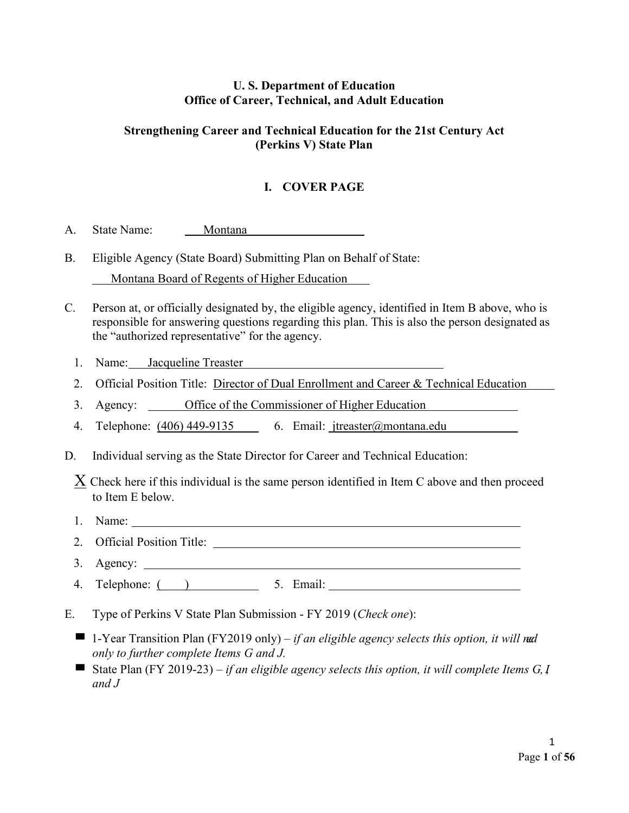# **U. S. Department of Education Office of Career, Technical, and Adult Education**

# **Strengthening Career and Technical Education for the 21st Century Act (Perkins V) State Plan**

# **I. COVER PAGE**

- A. State Name: Montana
- B. Eligible Agency (State Board) Submitting Plan on Behalf of State: Montana Board of Regents of Higher Education
- C. Person at, or officially designated by, the eligible agency, identified in Item B above, who is responsible for answering questions regarding this plan. This is also the person designated as the "authorized representative" for the agency.
	- 1. Name: Jacqueline Treaster
	- 2. Official Position Title: Director of Dual Enrollment and Career & Technical Education
	- 3. Agency: Office of the Commissioner of Higher Education
	- 4. Telephone: (406) 449-9135 6. Email: [jtreaster@montana.edu](mailto:jtreaster@montana.edu)
- D. Individual serving as the State Director for Career and Technical Education:

 $X$  Check here if this individual is the same person identified in Item C above and then proceed to Item E below.

- 1. Name:
- 2. Official Position Title:
- 3. Agency:
- 4. Telephone:  $($   $)$  5. Email: 5. Email:  $\frac{1}{2}$  5. Email:  $\frac{1}{2}$  5. Email:  $\frac{1}{2}$  5. Email:
- E. Type of Perkins V State Plan Submission FY 2019 (*Check one*):
	- 1-Year Transition Plan (FY2019 only) *if an eligible agency selects this option, it will ned only to further complete Items G and J.*
	- State Plan (FY 2019-23) *if an eligible agency selects this option, it will complete Items G, I and J*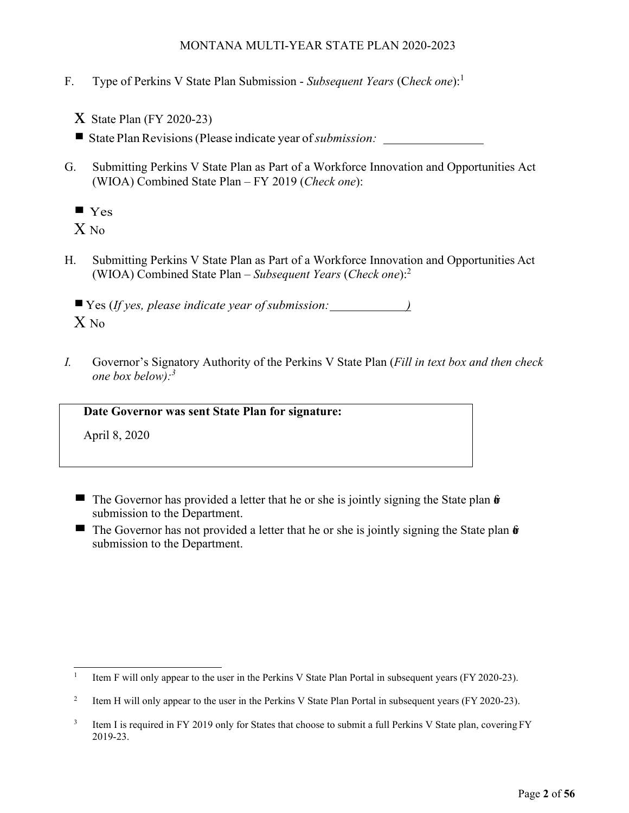- F. Type of Perkins V State Plan Submission *Subsequent Years* (C*heck one*):<sup>1</sup>
	- $X$  State Plan (FY 2020-23)

■ State Plan Revisions (Please indicate year of *submission:* 

- G. Submitting Perkins V State Plan as Part of a Workforce Innovation and Opportunities Act (WIOA) Combined State Plan – FY 2019 (*Check one*):
	- $\blacksquare$  Yes

X No

H. Submitting Perkins V State Plan as Part of a Workforce Innovation and Opportunities Act (WIOA) Combined State Plan – *Subsequent Years* (*Check one*):<sup>2</sup>

Yes (*If yes, please indicate year of submission: )*  $X_{\text{No}}$ 

*I.* Governor's Signatory Authority of the Perkins V State Plan (*Fill in text box and then check one box below):3*

**Date Governor was sent State Plan for signature:**

April 8, 2020

- The Governor has provided a letter that he or she is jointly signing the State plan  $\hat{\mathbf{r}}$ submission to the Department.
- The Governor has not provided a letter that he or she is jointly signing the State plan  $\hat{\mathbf{w}}$ submission to the Department.

<sup>&</sup>lt;sup>1</sup> Item F will only appear to the user in the Perkins V State Plan Portal in subsequent years (FY 2020-23).

<sup>&</sup>lt;sup>2</sup> Item H will only appear to the user in the Perkins V State Plan Portal in subsequent years (FY 2020-23).

<sup>&</sup>lt;sup>3</sup> Item I is required in FY 2019 only for States that choose to submit a full Perkins V State plan, covering FY 2019-23.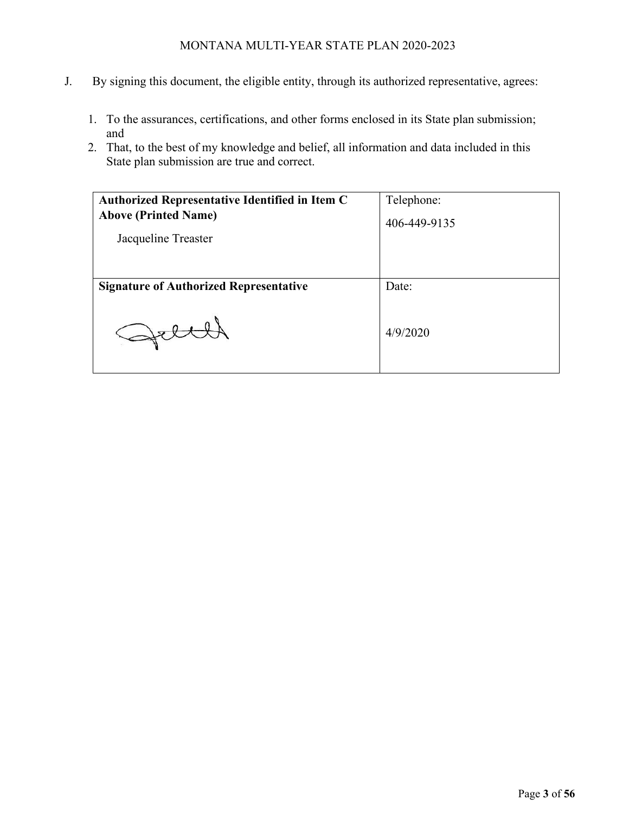- J. By signing this document, the eligible entity, through its authorized representative, agrees:
	- 1. To the assurances, certifications, and other forms enclosed in its State plan submission; and
	- 2. That, to the best of my knowledge and belief, all information and data included in this State plan submission are true and correct.

| <b>Authorized Representative Identified in Item C</b> | Telephone:   |
|-------------------------------------------------------|--------------|
| <b>Above (Printed Name)</b>                           | 406-449-9135 |
| Jacqueline Treaster                                   |              |
|                                                       |              |
| <b>Signature of Authorized Representative</b>         | Date:        |
|                                                       |              |
|                                                       | 4/9/2020     |
|                                                       |              |
|                                                       |              |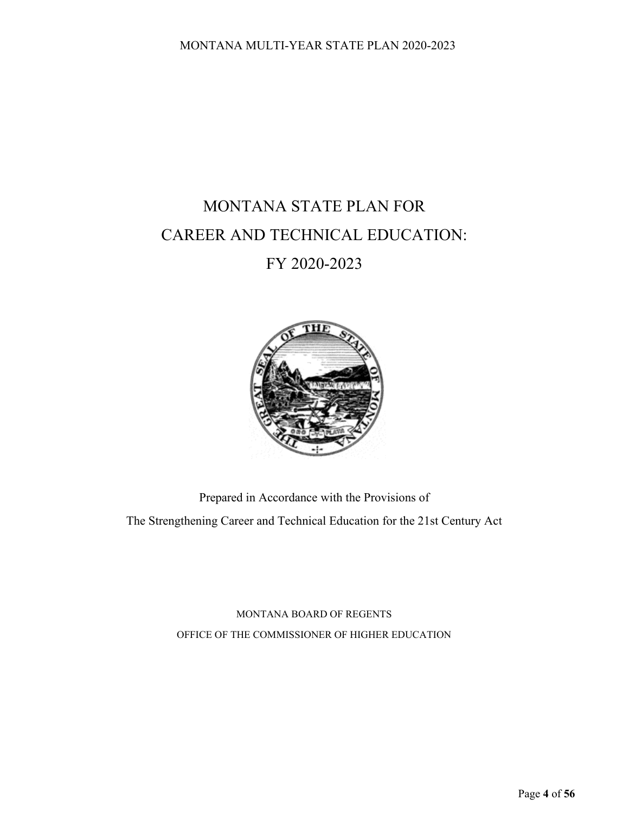# MONTANA STATE PLAN FOR CAREER AND TECHNICAL EDUCATION:

# FY 2020-2023



Prepared in Accordance with the Provisions of The Strengthening Career and Technical Education for the 21st Century Act

> MONTANA BOARD OF REGENTS OFFICE OF THE COMMISSIONER OF HIGHER EDUCATION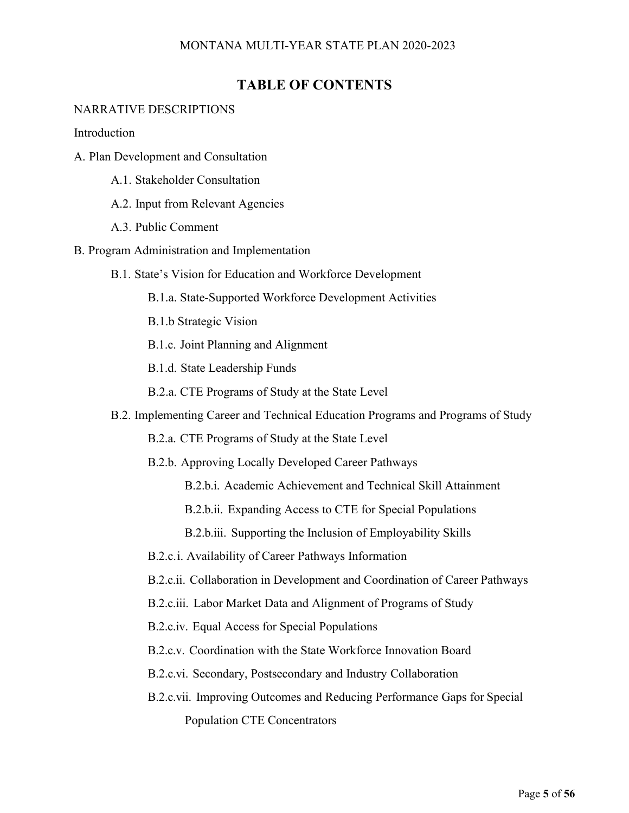# **TABLE OF CONTENTS**

#### NARRATIVE DESCRIPTIONS

**Introduction** 

- A. Plan Development and Consultation
	- A.1. Stakeholder Consultation
	- A.2. Input from Relevant Agencies
	- A.3. Public Comment
- B. Program Administration and Implementation
	- B.1. State's Vision for Education and Workforce Development
		- B.1.a. State-Supported Workforce Development Activities
		- B.1.b Strategic Vision
		- B.1.c. Joint Planning and Alignment
		- B.1.d. State Leadership Funds
		- B.2.a. CTE Programs of Study at the State Level
	- B.2. Implementing Career and Technical Education Programs and Programs of Study
		- B.2.a. CTE Programs of Study at the State Level
		- B.2.b. Approving Locally Developed Career Pathways
			- B.2.b.i. Academic Achievement and Technical Skill Attainment
			- B.2.b.ii. Expanding Access to CTE for Special Populations
			- B.2.b.iii. Supporting the Inclusion of Employability Skills
		- B.2.c.i. Availability of Career Pathways Information
		- B.2.c.ii. Collaboration in Development and Coordination of Career Pathways
		- B.2.c.iii. Labor Market Data and Alignment of Programs of Study
		- B.2.c.iv. Equal Access for Special Populations
		- B.2.c.v. Coordination with the State Workforce Innovation Board
		- B.2.c.vi. Secondary, Postsecondary and Industry Collaboration
		- B.2.c.vii. Improving Outcomes and Reducing Performance Gaps for Special Population CTE Concentrators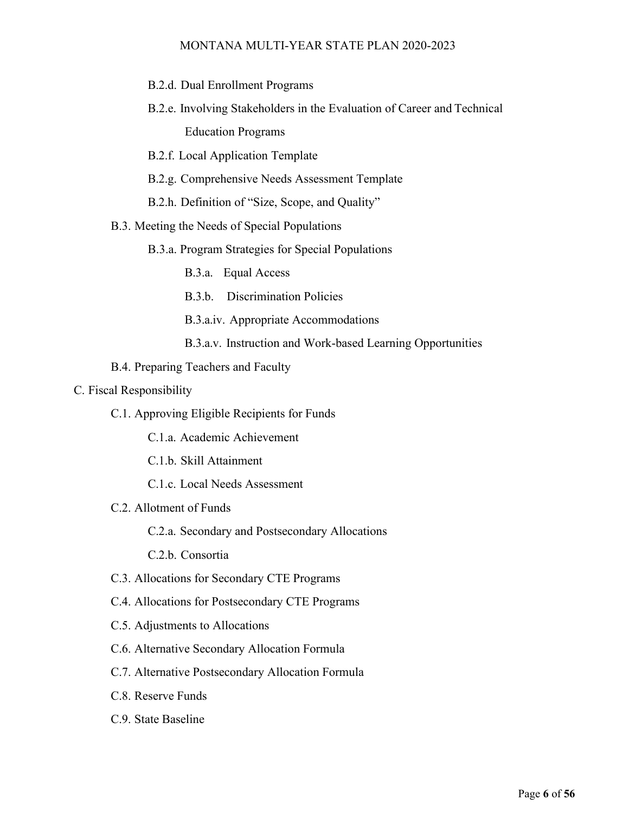- B.2.d. Dual Enrollment Programs
- B.2.e. Involving Stakeholders in the Evaluation of Career and Technical Education Programs
- B.2.f. Local Application Template
- B.2.g. Comprehensive Needs Assessment Template
- B.2.h. Definition of "Size, Scope, and Quality"
- B.3. Meeting the Needs of Special Populations
	- B.3.a. Program Strategies for Special Populations
		- B.3.a. Equal Access
		- B.3.b. Discrimination Policies
		- B.3.a.iv. Appropriate Accommodations
		- B.3.a.v. Instruction and Work-based Learning Opportunities
- B.4. Preparing Teachers and Faculty
- C. Fiscal Responsibility
	- C.1. Approving Eligible Recipients for Funds
		- C.1.a. Academic Achievement
		- C.1.b. Skill Attainment
		- C.1.c. Local Needs Assessment
	- C.2. Allotment of Funds
		- C.2.a. Secondary and Postsecondary Allocations
		- C.2.b. Consortia
	- C.3. Allocations for Secondary CTE Programs
	- C.4. Allocations for Postsecondary CTE Programs
	- C.5. Adjustments to Allocations
	- C.6. Alternative Secondary Allocation Formula
	- C.7. Alternative Postsecondary Allocation Formula
	- C.8. Reserve Funds
	- C.9. State Baseline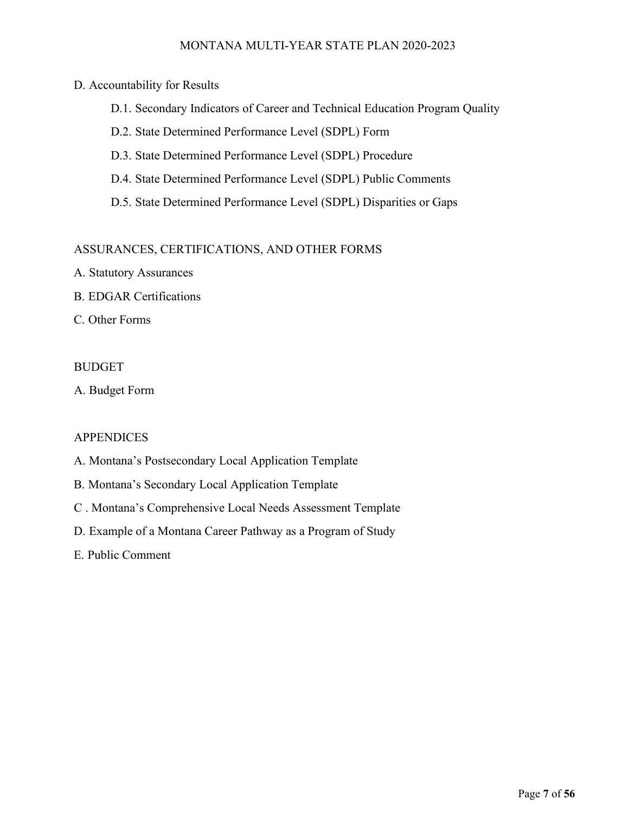#### D. Accountability for Results

- D.1. Secondary Indicators of Career and Technical Education Program Quality
- D.2. State Determined Performance Level (SDPL) Form
- D.3. State Determined Performance Level (SDPL) Procedure
- D.4. State Determined Performance Level (SDPL) Public Comments
- D.5. State Determined Performance Level (SDPL) Disparities or Gaps

#### ASSURANCES, CERTIFICATIONS, AND OTHER FORMS

- A. Statutory Assurances
- B. EDGAR Certifications
- C. Other Forms

#### BUDGET

A. Budget Form

#### **APPENDICES**

- A. Montana's Postsecondary Local Application Template
- B. Montana's Secondary Local Application Template
- C . Montana's Comprehensive Local Needs Assessment Template
- D. Example of a Montana Career Pathway as a Program of Study
- E. Public Comment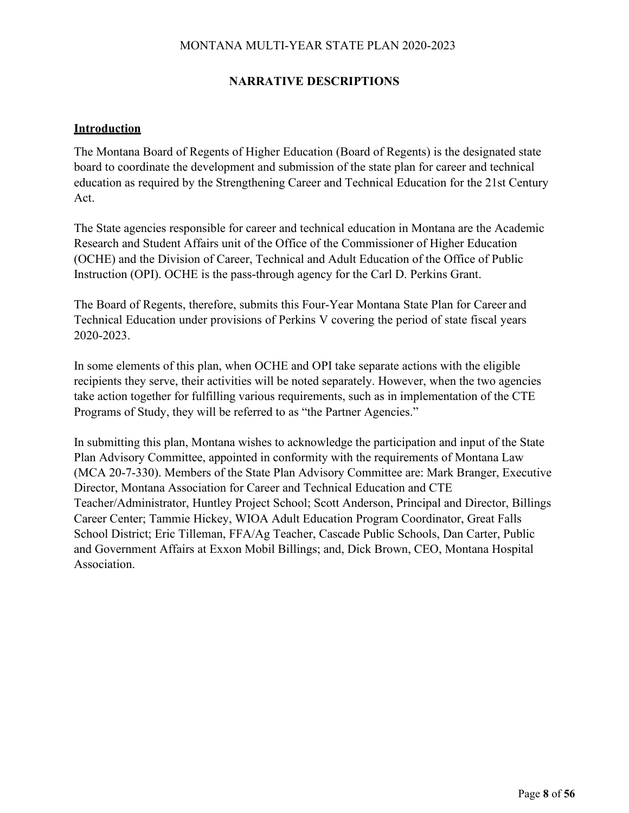# **NARRATIVE DESCRIPTIONS**

#### **Introduction**

The Montana Board of Regents of Higher Education (Board of Regents) is the designated state board to coordinate the development and submission of the state plan for career and technical education as required by the Strengthening Career and Technical Education for the 21st Century Act.

The State agencies responsible for career and technical education in Montana are the Academic Research and Student Affairs unit of the Office of the Commissioner of Higher Education (OCHE) and the Division of Career, Technical and Adult Education of the Office of Public Instruction (OPI). OCHE is the pass-through agency for the Carl D. Perkins Grant.

The Board of Regents, therefore, submits this Four-Year Montana State Plan for Career and Technical Education under provisions of Perkins V covering the period of state fiscal years 2020-2023.

In some elements of this plan, when OCHE and OPI take separate actions with the eligible recipients they serve, their activities will be noted separately. However, when the two agencies take action together for fulfilling various requirements, such as in implementation of the CTE Programs of Study, they will be referred to as "the Partner Agencies."

In submitting this plan, Montana wishes to acknowledge the participation and input of the State Plan Advisory Committee, appointed in conformity with the requirements of Montana Law (MCA 20-7-330). Members of the State Plan Advisory Committee are: Mark Branger, Executive Director, Montana Association for Career and Technical Education and CTE Teacher/Administrator, Huntley Project School; Scott Anderson, Principal and Director, Billings Career Center; Tammie Hickey, WIOA Adult Education Program Coordinator, Great Falls School District; Eric Tilleman, FFA/Ag Teacher, Cascade Public Schools, Dan Carter, Public and Government Affairs at Exxon Mobil Billings; and, Dick Brown, CEO, Montana Hospital Association.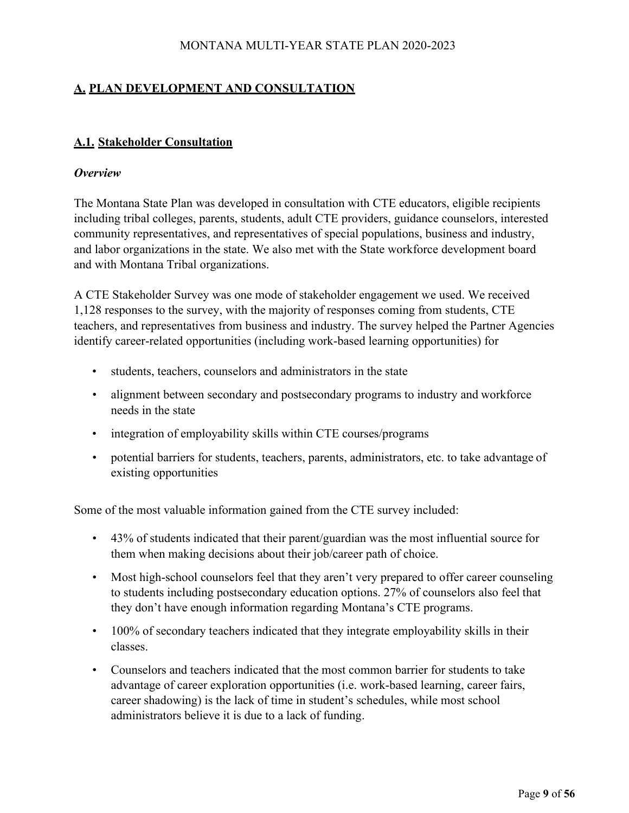# **A. PLAN DEVELOPMENT AND CONSULTATION**

# **A.1. Stakeholder Consultation**

#### *Overview*

The Montana State Plan was developed in consultation with CTE educators, eligible recipients including tribal colleges, parents, students, adult CTE providers, guidance counselors, interested community representatives, and representatives of special populations, business and industry, and labor organizations in the state. We also met with the State workforce development board and with Montana Tribal organizations.

A CTE Stakeholder Survey was one mode of stakeholder engagement we used. We received 1,128 responses to the survey, with the majority of responses coming from students, CTE teachers, and representatives from business and industry. The survey helped the Partner Agencies identify career-related opportunities (including work-based learning opportunities) for

- students, teachers, counselors and administrators in the state
- alignment between secondary and postsecondary programs to industry and workforce needs in the state
- integration of employability skills within CTE courses/programs
- potential barriers for students, teachers, parents, administrators, etc. to take advantage of existing opportunities

Some of the most valuable information gained from the CTE survey included:

- 43% of students indicated that their parent/guardian was the most influential source for them when making decisions about their job/career path of choice.
- Most high-school counselors feel that they aren't very prepared to offer career counseling to students including postsecondary education options. 27% of counselors also feel that they don't have enough information regarding Montana's CTE programs.
- 100% of secondary teachers indicated that they integrate employability skills in their classes.
- Counselors and teachers indicated that the most common barrier for students to take advantage of career exploration opportunities (i.e. work-based learning, career fairs, career shadowing) is the lack of time in student's schedules, while most school administrators believe it is due to a lack of funding.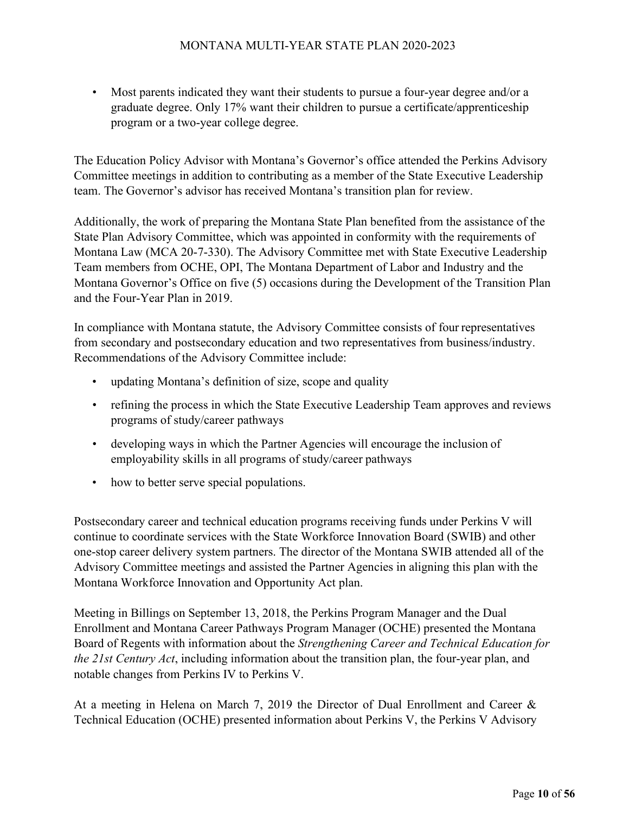• Most parents indicated they want their students to pursue a four-year degree and/or a graduate degree. Only 17% want their children to pursue a certificate/apprenticeship program or a two-year college degree.

The Education Policy Advisor with Montana's Governor's office attended the Perkins Advisory Committee meetings in addition to contributing as a member of the State Executive Leadership team. The Governor's advisor has received Montana's transition plan for review.

Additionally, the work of preparing the Montana State Plan benefited from the assistance of the State Plan Advisory Committee, which was appointed in conformity with the requirements of Montana Law (MCA 20-7-330). The Advisory Committee met with State Executive Leadership Team members from OCHE, OPI, The Montana Department of Labor and Industry and the Montana Governor's Office on five (5) occasions during the Development of the Transition Plan and the Four-Year Plan in 2019.

In compliance with Montana statute, the Advisory Committee consists of four representatives from secondary and postsecondary education and two representatives from business/industry. Recommendations of the Advisory Committee include:

- updating Montana's definition of size, scope and quality
- refining the process in which the State Executive Leadership Team approves and reviews programs of study/career pathways
- developing ways in which the Partner Agencies will encourage the inclusion of employability skills in all programs of study/career pathways
- how to better serve special populations.

Postsecondary career and technical education programs receiving funds under Perkins V will continue to coordinate services with the State Workforce Innovation Board (SWIB) and other one-stop career delivery system partners. The director of the Montana SWIB attended all of the Advisory Committee meetings and assisted the Partner Agencies in aligning this plan with the Montana Workforce Innovation and Opportunity Act plan.

Meeting in Billings on September 13, 2018, the Perkins Program Manager and the Dual Enrollment and Montana Career Pathways Program Manager (OCHE) presented the Montana Board of Regents with information about the *Strengthening Career and Technical Education for the 21st Century Act*, including information about the transition plan, the four-year plan, and notable changes from Perkins IV to Perkins V.

At a meeting in Helena on March 7, 2019 the Director of Dual Enrollment and Career & Technical Education (OCHE) presented information about Perkins V, the Perkins V Advisory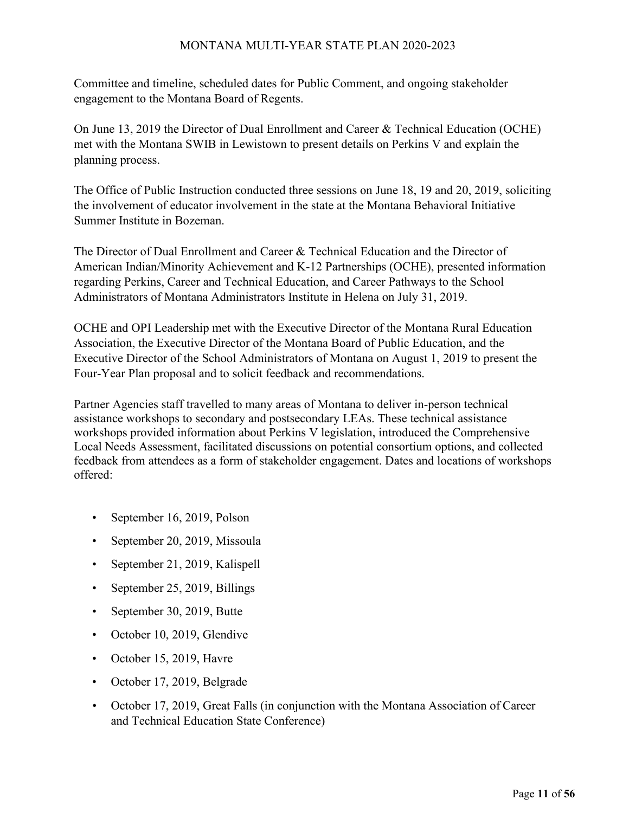Committee and timeline, scheduled dates for Public Comment, and ongoing stakeholder engagement to the Montana Board of Regents.

On June 13, 2019 the Director of Dual Enrollment and Career & Technical Education (OCHE) met with the Montana SWIB in Lewistown to present details on Perkins V and explain the planning process.

The Office of Public Instruction conducted three sessions on June 18, 19 and 20, 2019, soliciting the involvement of educator involvement in the state at the Montana Behavioral Initiative Summer Institute in Bozeman.

The Director of Dual Enrollment and Career & Technical Education and the Director of American Indian/Minority Achievement and K-12 Partnerships (OCHE), presented information regarding Perkins, Career and Technical Education, and Career Pathways to the School Administrators of Montana Administrators Institute in Helena on July 31, 2019.

OCHE and OPI Leadership met with the Executive Director of the Montana Rural Education Association, the Executive Director of the Montana Board of Public Education, and the Executive Director of the School Administrators of Montana on August 1, 2019 to present the Four-Year Plan proposal and to solicit feedback and recommendations.

Partner Agencies staff travelled to many areas of Montana to deliver in-person technical assistance workshops to secondary and postsecondary LEAs. These technical assistance workshops provided information about Perkins V legislation, introduced the Comprehensive Local Needs Assessment, facilitated discussions on potential consortium options, and collected feedback from attendees as a form of stakeholder engagement. Dates and locations of workshops offered:

- September 16, 2019, Polson
- September 20, 2019, Missoula
- September 21, 2019, Kalispell
- September 25, 2019, Billings
- September 30, 2019, Butte
- October 10, 2019, Glendive
- October 15, 2019, Havre
- October 17, 2019, Belgrade
- October 17, 2019, Great Falls (in conjunction with the Montana Association of Career and Technical Education State Conference)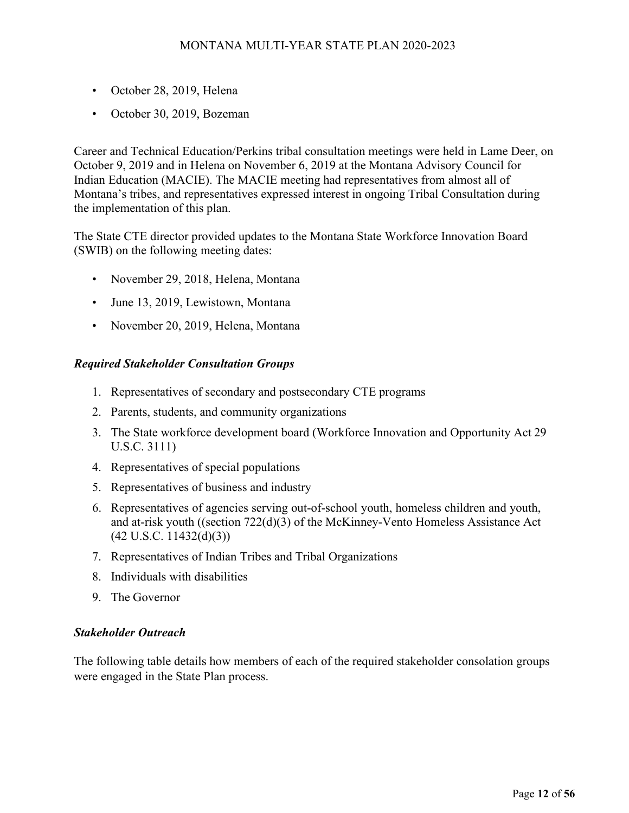- October 28, 2019, Helena
- October 30, 2019, Bozeman

Career and Technical Education/Perkins tribal consultation meetings were held in Lame Deer, on October 9, 2019 and in Helena on November 6, 2019 at the Montana Advisory Council for Indian Education (MACIE). The MACIE meeting had representatives from almost all of Montana's tribes, and representatives expressed interest in ongoing Tribal Consultation during the implementation of this plan.

The State CTE director provided updates to the Montana State Workforce Innovation Board (SWIB) on the following meeting dates:

- November 29, 2018, Helena, Montana
- June 13, 2019, Lewistown, Montana
- November 20, 2019, Helena, Montana

#### *Required Stakeholder Consultation Groups*

- 1. Representatives of secondary and postsecondary CTE programs
- 2. Parents, students, and community organizations
- 3. The State workforce development board (Workforce Innovation and Opportunity Act 29 U.S.C. 3111)
- 4. Representatives of special populations
- 5. Representatives of business and industry
- 6. Representatives of agencies serving out-of-school youth, homeless children and youth, and at-risk youth ((section 722(d)(3) of the McKinney-Vento Homeless Assistance Act  $(42 \text{ U.S.C. } 11432\text{ (d)}(3))$
- 7. Representatives of Indian Tribes and Tribal Organizations
- 8. Individuals with disabilities
- 9. The Governor

#### *Stakeholder Outreach*

The following table details how members of each of the required stakeholder consolation groups were engaged in the State Plan process.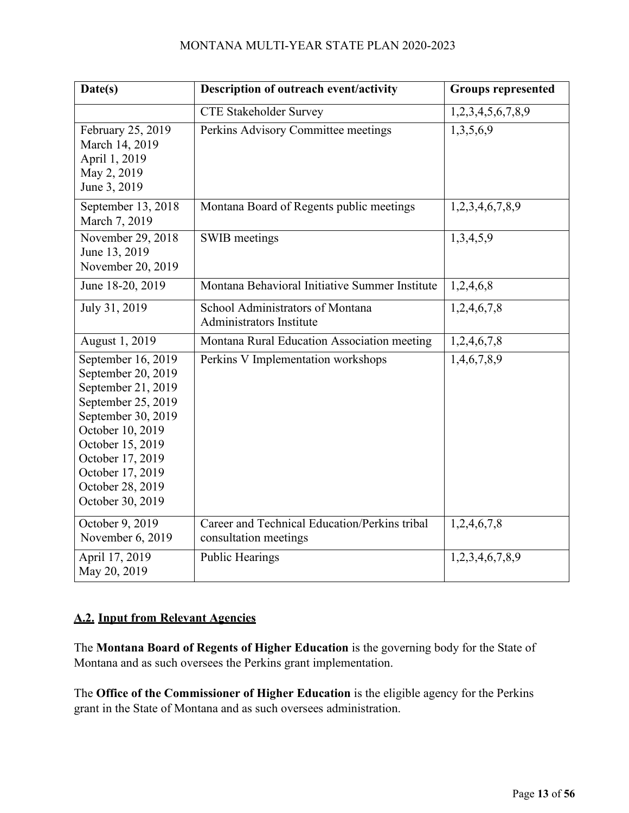| Date(s)                                                                                                                                                                                                                            | Description of outreach event/activity                                 | <b>Groups represented</b> |
|------------------------------------------------------------------------------------------------------------------------------------------------------------------------------------------------------------------------------------|------------------------------------------------------------------------|---------------------------|
|                                                                                                                                                                                                                                    | <b>CTE Stakeholder Survey</b>                                          | 1,2,3,4,5,6,7,8,9         |
| February 25, 2019<br>March 14, 2019<br>April 1, 2019<br>May 2, 2019<br>June 3, 2019                                                                                                                                                | Perkins Advisory Committee meetings                                    | 1,3,5,6,9                 |
| September 13, 2018<br>March 7, 2019                                                                                                                                                                                                | Montana Board of Regents public meetings                               | 1,2,3,4,6,7,8,9           |
| November 29, 2018<br>June 13, 2019<br>November 20, 2019                                                                                                                                                                            | SWIB meetings                                                          | 1,3,4,5,9                 |
| June 18-20, 2019                                                                                                                                                                                                                   | Montana Behavioral Initiative Summer Institute                         | 1,2,4,6,8                 |
| July 31, 2019                                                                                                                                                                                                                      | School Administrators of Montana<br><b>Administrators Institute</b>    | 1,2,4,6,7,8               |
| August 1, 2019                                                                                                                                                                                                                     | Montana Rural Education Association meeting                            | 1,2,4,6,7,8               |
| September 16, 2019<br>September 20, 2019<br>September 21, 2019<br>September 25, 2019<br>September 30, 2019<br>October 10, 2019<br>October 15, 2019<br>October 17, 2019<br>October 17, 2019<br>October 28, 2019<br>October 30, 2019 | Perkins V Implementation workshops                                     | 1,4,6,7,8,9               |
| October 9, 2019<br>November 6, 2019                                                                                                                                                                                                | Career and Technical Education/Perkins tribal<br>consultation meetings | 1,2,4,6,7,8               |
| April 17, 2019<br>May 20, 2019                                                                                                                                                                                                     | <b>Public Hearings</b>                                                 | 1,2,3,4,6,7,8,9           |

# **A.2. Input from Relevant Agencies**

The **Montana Board of Regents of Higher Education** is the governing body for the State of Montana and as such oversees the Perkins grant implementation.

The **Office of the Commissioner of Higher Education** is the eligible agency for the Perkins grant in the State of Montana and as such oversees administration.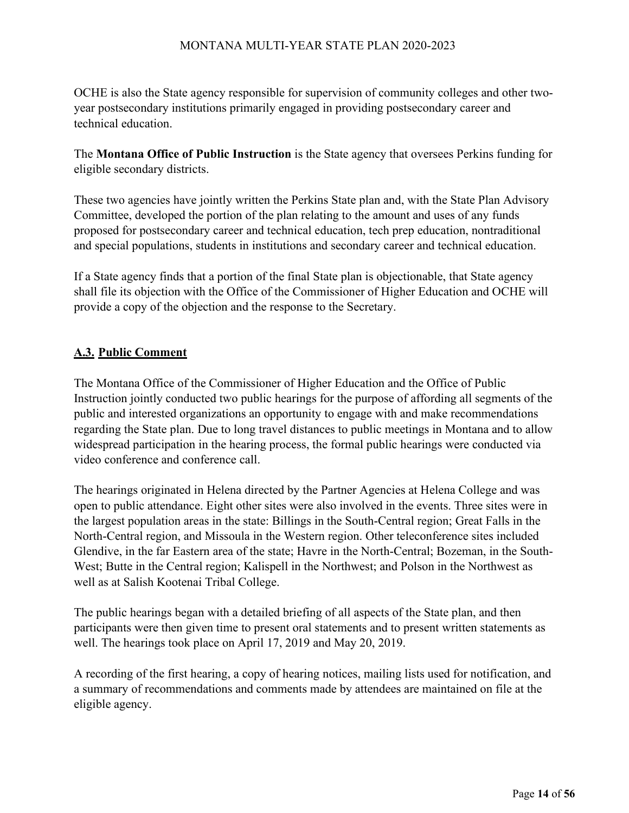OCHE is also the State agency responsible for supervision of community colleges and other twoyear postsecondary institutions primarily engaged in providing postsecondary career and technical education.

The **Montana Office of Public Instruction** is the State agency that oversees Perkins funding for eligible secondary districts.

These two agencies have jointly written the Perkins State plan and, with the State Plan Advisory Committee, developed the portion of the plan relating to the amount and uses of any funds proposed for postsecondary career and technical education, tech prep education, nontraditional and special populations, students in institutions and secondary career and technical education.

If a State agency finds that a portion of the final State plan is objectionable, that State agency shall file its objection with the Office of the Commissioner of Higher Education and OCHE will provide a copy of the objection and the response to the Secretary.

# **A.3. Public Comment**

The Montana Office of the Commissioner of Higher Education and the Office of Public Instruction jointly conducted two public hearings for the purpose of affording all segments of the public and interested organizations an opportunity to engage with and make recommendations regarding the State plan. Due to long travel distances to public meetings in Montana and to allow widespread participation in the hearing process, the formal public hearings were conducted via video conference and conference call.

The hearings originated in Helena directed by the Partner Agencies at Helena College and was open to public attendance. Eight other sites were also involved in the events. Three sites were in the largest population areas in the state: Billings in the South-Central region; Great Falls in the North-Central region, and Missoula in the Western region. Other teleconference sites included Glendive, in the far Eastern area of the state; Havre in the North-Central; Bozeman, in the South-West; Butte in the Central region; Kalispell in the Northwest; and Polson in the Northwest as well as at Salish Kootenai Tribal College.

The public hearings began with a detailed briefing of all aspects of the State plan, and then participants were then given time to present oral statements and to present written statements as well. The hearings took place on April 17, 2019 and May 20, 2019.

A recording of the first hearing, a copy of hearing notices, mailing lists used for notification, and a summary of recommendations and comments made by attendees are maintained on file at the eligible agency.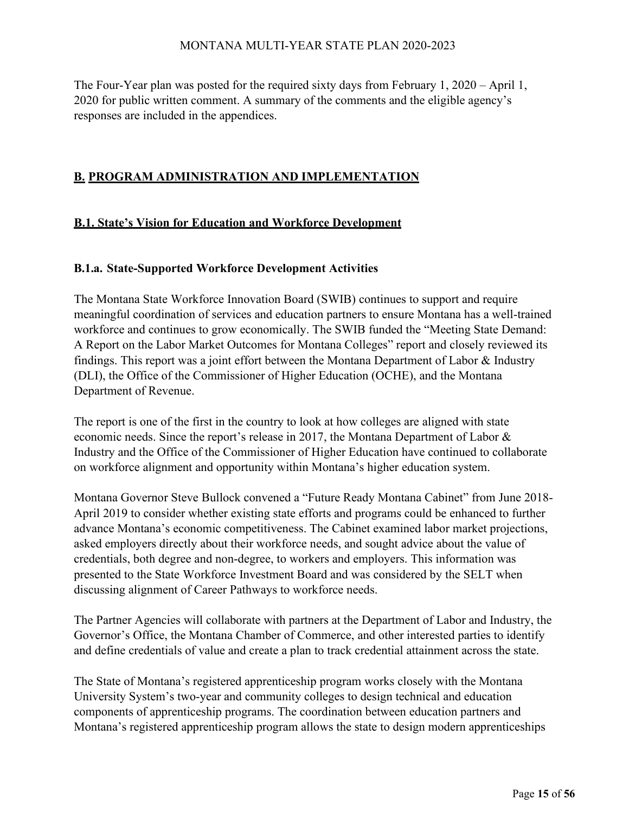The Four-Year plan was posted for the required sixty days from February 1, 2020 – April 1, 2020 for public written comment. A summary of the comments and the eligible agency's responses are included in the appendices.

#### **B. PROGRAM ADMINISTRATION AND IMPLEMENTATION**

#### **B.1. State's Vision for Education and Workforce Development**

#### **B.1.a. State-Supported Workforce Development Activities**

The Montana State Workforce Innovation Board (SWIB) continues to support and require meaningful coordination of services and education partners to ensure Montana has a well-trained workforce and continues to grow economically. The SWIB funded the "Meeting State Demand: A Report on the Labor Market Outcomes for Montana Colleges" report and closely reviewed its findings. This report was a joint effort between the Montana Department of Labor & Industry (DLI), the Office of the Commissioner of Higher Education (OCHE), and the Montana Department of Revenue.

The report is one of the first in the country to look at how colleges are aligned with state economic needs. Since the report's release in 2017, the Montana Department of Labor & Industry and the Office of the Commissioner of Higher Education have continued to collaborate on workforce alignment and opportunity within Montana's higher education system.

Montana Governor Steve Bullock convened a "Future Ready Montana Cabinet" from June 2018- April 2019 to consider whether existing state efforts and programs could be enhanced to further advance Montana's economic competitiveness. The Cabinet examined labor market projections, asked employers directly about their workforce needs, and sought advice about the value of credentials, both degree and non-degree, to workers and employers. This information was presented to the State Workforce Investment Board and was considered by the SELT when discussing alignment of Career Pathways to workforce needs.

The Partner Agencies will collaborate with partners at the Department of Labor and Industry, the Governor's Office, the Montana Chamber of Commerce, and other interested parties to identify and define credentials of value and create a plan to track credential attainment across the state.

The State of Montana's registered apprenticeship program works closely with the Montana University System's two-year and community colleges to design technical and education components of apprenticeship programs. The coordination between education partners and Montana's registered apprenticeship program allows the state to design modern apprenticeships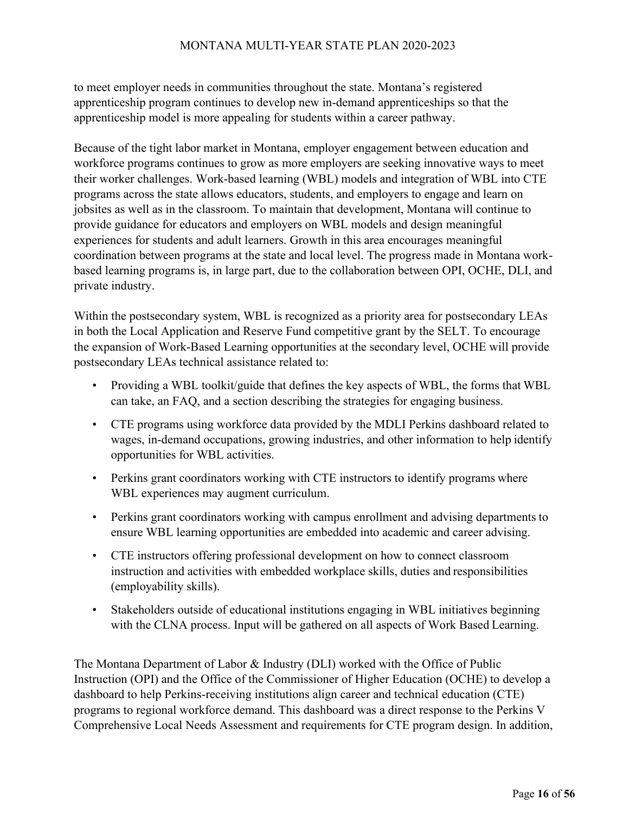to meet employer needs in communities throughout the state. Montana's registered apprenticeship program continues to develop new in-demand apprenticeships so that the apprenticeship model is more appealing for students within a career pathway.

Because of the tight labor market in Montana, employer engagement between education and workforce programs continues to grow as more employers are seeking innovative ways to meet their worker challenges. Work-based learning (WBL) models and integration of WBL into CTE programs across the state allows educators, students, and employers to engage and learn on jobsites as well as in the classroom. To maintain that development, Montana will continue to provide guidance for educators and employers on WBL models and design meaningful experiences for students and adult learners. Growth in this area encourages meaningful coordination between programs at the state and local level. The progress made in Montana workbased learning programs is, in large part, due to the collaboration between OPI, OCHE, DLI, and private industry.

Within the postsecondary system, WBL is recognized as a priority area for postsecondary LEAs in both the Local Application and Reserve Fund competitive grant by the SELT. To encourage the expansion of Work-Based Learning opportunities at the secondary level, OCHE will provide postsecondary LEAs technical assistance related to:

- Providing a WBL toolkit/guide that defines the key aspects of WBL, the forms that WBL can take, an FAQ, and a section describing the strategies for engaging business.
- CTE programs using workforce data provided by the MDLI Perkins dashboard related to wages, in-demand occupations, growing industries, and other information to help identify opportunities for WBL activities.
- Perkins grant coordinators working with CTE instructors to identify programs where WBL experiences may augment curriculum.
- Perkins grant coordinators working with campus enrollment and advising departments to ensure WBL learning opportunities are embedded into academic and career advising.
- CTE instructors offering professional development on how to connect classroom instruction and activities with embedded workplace skills, duties and responsibilities (employability skills).
- Stakeholders outside of educational institutions engaging in WBL initiatives beginning with the CLNA process. Input will be gathered on all aspects of Work Based Learning.

The Montana Department of Labor & Industry (DLI) worked with the Office of Public Instruction (OPI) and the Office of the Commissioner of Higher Education (OCHE) to develop a dashboard to help Perkins-receiving institutions align career and technical education (CTE) programs to regional workforce demand. This dashboard was a direct response to the Perkins V Comprehensive Local Needs Assessment and requirements for CTE program design. In addition,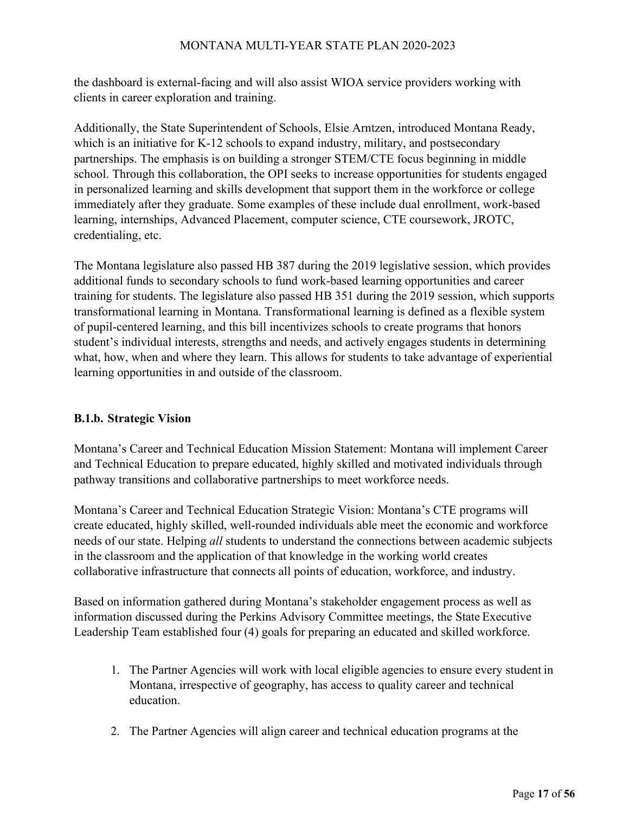the dashboard is external-facing and will also assist WIOA service providers working with clients in career exploration and training.

Additionally, the State Superintendent of Schools, Elsie Arntzen, introduced Montana Ready, which is an initiative for K-12 schools to expand industry, military, and postsecondary partnerships. The emphasis is on building a stronger STEM/CTE focus beginning in middle school. Through this collaboration, the OPI seeks to increase opportunities for students engaged in personalized learning and skills development that support them in the workforce or college immediately after they graduate. Some examples of these include dual enrollment, work-based learning, internships, Advanced Placement, computer science, CTE coursework, JROTC, credentialing, etc.

The Montana legislature also passed HB 387 during the 2019 legislative session, which provides additional funds to secondary schools to fund work-based learning opportunities and career training for students. The legislature also passed HB 351 during the 2019 session, which supports transformational learning in Montana. Transformational learning is defined as a flexible system of pupil-centered learning, and this bill incentivizes schools to create programs that honors student's individual interests, strengths and needs, and actively engages students in determining what, how, when and where they learn. This allows for students to take advantage of experiential learning opportunities in and outside of the classroom.

# **B.1.b. Strategic Vision**

Montana's Career and Technical Education Mission Statement: Montana will implement Career and Technical Education to prepare educated, highly skilled and motivated individuals through pathway transitions and collaborative partnerships to meet workforce needs.

Montana's Career and Technical Education Strategic Vision: Montana's CTE programs will create educated, highly skilled, well-rounded individuals able meet the economic and workforce needs of our state. Helping *all* students to understand the connections between academic subjects in the classroom and the application of that knowledge in the working world creates collaborative infrastructure that connects all points of education, workforce, and industry.

Based on information gathered during Montana's stakeholder engagement process as well as information discussed during the Perkins Advisory Committee meetings, the State Executive Leadership Team established four (4) goals for preparing an educated and skilled workforce.

- 1. The Partner Agencies will work with local eligible agencies to ensure every student in Montana, irrespective of geography, has access to quality career and technical education.
- 2. The Partner Agencies will align career and technical education programs at the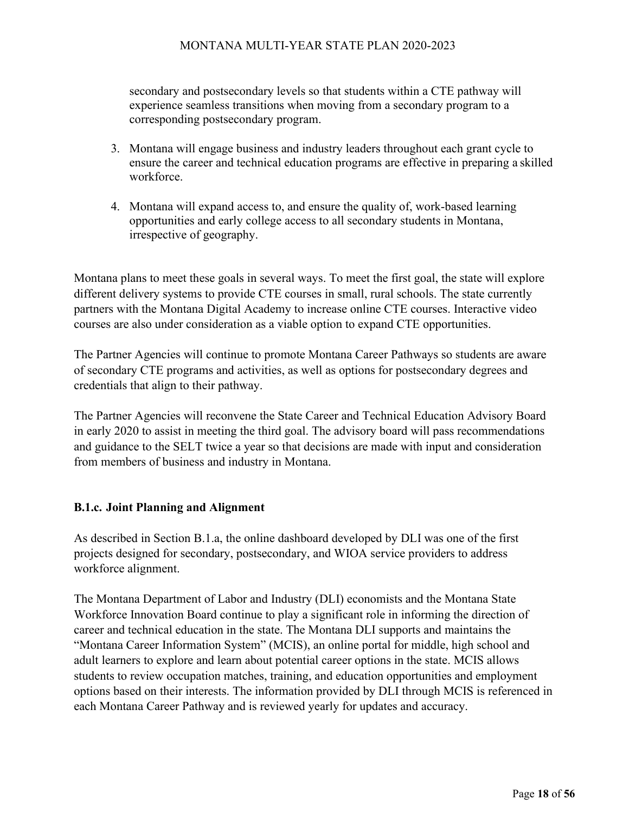secondary and postsecondary levels so that students within a CTE pathway will experience seamless transitions when moving from a secondary program to a corresponding postsecondary program.

- 3. Montana will engage business and industry leaders throughout each grant cycle to ensure the career and technical education programs are effective in preparing a skilled workforce.
- 4. Montana will expand access to, and ensure the quality of, work-based learning opportunities and early college access to all secondary students in Montana, irrespective of geography.

Montana plans to meet these goals in several ways. To meet the first goal, the state will explore different delivery systems to provide CTE courses in small, rural schools. The state currently partners with the Montana Digital Academy to increase online CTE courses. Interactive video courses are also under consideration as a viable option to expand CTE opportunities.

The Partner Agencies will continue to promote Montana Career Pathways so students are aware of secondary CTE programs and activities, as well as options for postsecondary degrees and credentials that align to their pathway.

The Partner Agencies will reconvene the State Career and Technical Education Advisory Board in early 2020 to assist in meeting the third goal. The advisory board will pass recommendations and guidance to the SELT twice a year so that decisions are made with input and consideration from members of business and industry in Montana.

#### **B.1.c. Joint Planning and Alignment**

As described in Section B.1.a, the online dashboard developed by DLI was one of the first projects designed for secondary, postsecondary, and WIOA service providers to address workforce alignment.

The Montana Department of Labor and Industry (DLI) economists and the Montana State Workforce Innovation Board continue to play a significant role in informing the direction of career and technical education in the state. The Montana DLI supports and maintains the "Montana Career Information System" (MCIS), an online portal for middle, high school and adult learners to explore and learn about potential career options in the state. MCIS allows students to review occupation matches, training, and education opportunities and employment options based on their interests. The information provided by DLI through MCIS is referenced in each Montana Career Pathway and is reviewed yearly for updates and accuracy.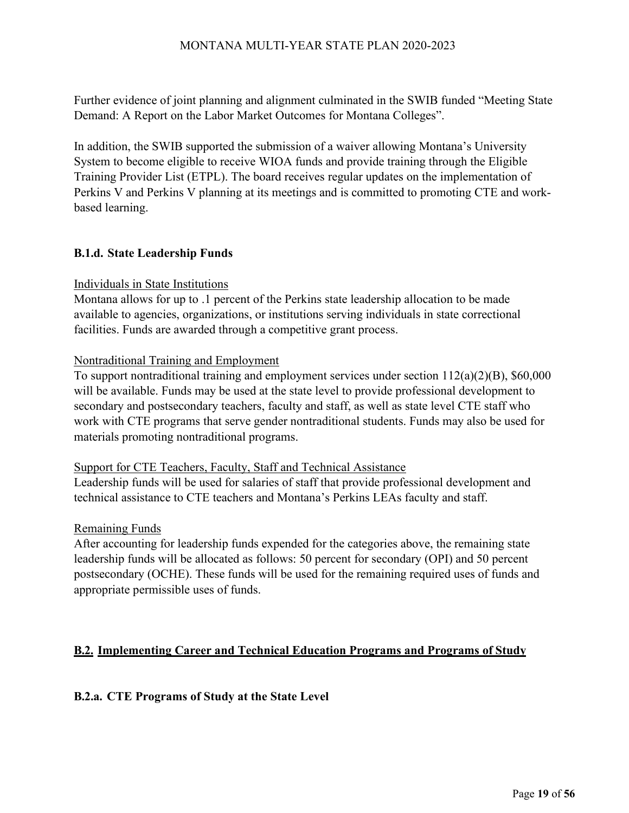Further evidence of joint planning and alignment culminated in the SWIB funded "Meeting State Demand: A Report on the Labor Market Outcomes for Montana Colleges".

In addition, the SWIB supported the submission of a waiver allowing Montana's University System to become eligible to receive WIOA funds and provide training through the Eligible Training Provider List (ETPL). The board receives regular updates on the implementation of Perkins V and Perkins V planning at its meetings and is committed to promoting CTE and workbased learning.

#### **B.1.d. State Leadership Funds**

#### Individuals in State Institutions

Montana allows for up to .1 percent of the Perkins state leadership allocation to be made available to agencies, organizations, or institutions serving individuals in state correctional facilities. Funds are awarded through a competitive grant process.

#### Nontraditional Training and Employment

To support nontraditional training and employment services under section 112(a)(2)(B), \$60,000 will be available. Funds may be used at the state level to provide professional development to secondary and postsecondary teachers, faculty and staff, as well as state level CTE staff who work with CTE programs that serve gender nontraditional students. Funds may also be used for materials promoting nontraditional programs.

#### Support for CTE Teachers, Faculty, Staff and Technical Assistance

Leadership funds will be used for salaries of staff that provide professional development and technical assistance to CTE teachers and Montana's Perkins LEAs faculty and staff.

#### Remaining Funds

After accounting for leadership funds expended for the categories above, the remaining state leadership funds will be allocated as follows: 50 percent for secondary (OPI) and 50 percent postsecondary (OCHE). These funds will be used for the remaining required uses of funds and appropriate permissible uses of funds.

#### **B.2. Implementing Career and Technical Education Programs and Programs of Study**

#### **B.2.a. CTE Programs of Study at the State Level**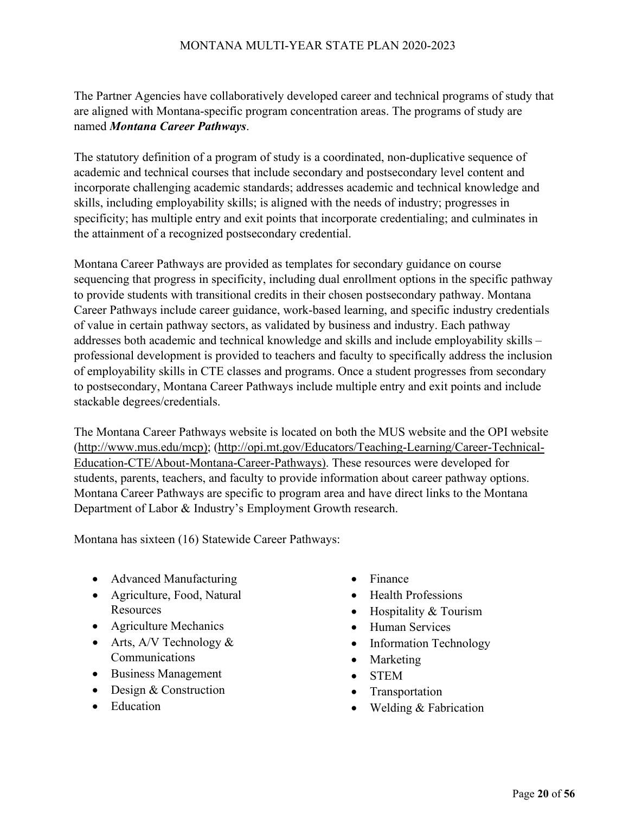The Partner Agencies have collaboratively developed career and technical programs of study that are aligned with Montana-specific program concentration areas. The programs of study are named *Montana Career Pathways*.

The statutory definition of a program of study is a coordinated, non-duplicative sequence of academic and technical courses that include secondary and postsecondary level content and incorporate challenging academic standards; addresses academic and technical knowledge and skills, including employability skills; is aligned with the needs of industry; progresses in specificity; has multiple entry and exit points that incorporate credentialing; and culminates in the attainment of a recognized postsecondary credential.

Montana Career Pathways are provided as templates for secondary guidance on course sequencing that progress in specificity, including dual enrollment options in the specific pathway to provide students with transitional credits in their chosen postsecondary pathway. Montana Career Pathways include career guidance, work-based learning, and specific industry credentials of value in certain pathway sectors, as validated by business and industry. Each pathway addresses both academic and technical knowledge and skills and include employability skills – professional development is provided to teachers and faculty to specifically address the inclusion of employability skills in CTE classes and programs. Once a student progresses from secondary to postsecondary, Montana Career Pathways include multiple entry and exit points and include stackable degrees/credentials.

The Montana Career Pathways website is located on both the MUS website and the OPI website [\(http://www.mus.edu/mcp\); \(](http://www.mus.edu/mcp)%3B)<http://opi.mt.gov/Educators/Teaching-Learning/Career-Technical->Education-CTE/About-Montana-Career-Pathways). These resources were developed for students, parents, teachers, and faculty to provide information about career pathway options. Montana Career Pathways are specific to program area and have direct links to the Montana Department of Labor & Industry's Employment Growth research.

Montana has sixteen (16) Statewide Career Pathways:

- Advanced Manufacturing
- Agriculture, Food, Natural Resources
- Agriculture Mechanics
- Arts,  $A/V$  Technology  $&$ Communications
- Business Management
- Design & Construction
- Education
- Finance
- Health Professions
- Hospitality & Tourism
- Human Services
- Information Technology
- Marketing
- STEM
- **Transportation**
- Welding & Fabrication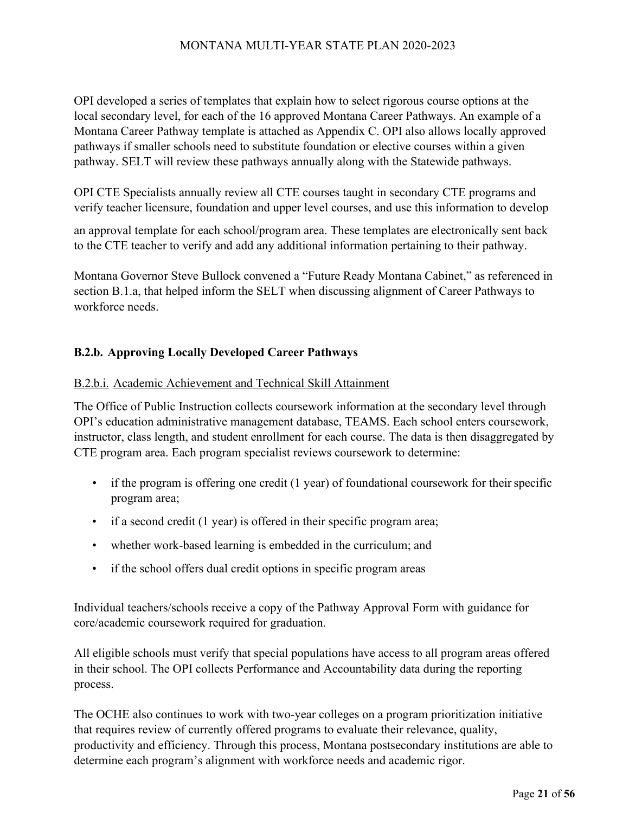OPI developed a series of templates that explain how to select rigorous course options at the local secondary level, for each of the 16 approved Montana Career Pathways. An example of a Montana Career Pathway template is attached as Appendix C. OPI also allows locally approved pathways if smaller schools need to substitute foundation or elective courses within a given pathway. SELT will review these pathways annually along with the Statewide pathways.

OPI CTE Specialists annually review all CTE courses taught in secondary CTE programs and verify teacher licensure, foundation and upper level courses, and use this information to develop

an approval template for each school/program area. These templates are electronically sent back to the CTE teacher to verify and add any additional information pertaining to their pathway.

Montana Governor Steve Bullock convened a "Future Ready Montana Cabinet," as referenced in section B.1.a, that helped inform the SELT when discussing alignment of Career Pathways to workforce needs.

# **B.2.b. Approving Locally Developed Career Pathways**

#### B.2.b.i. Academic Achievement and Technical Skill Attainment

The Office of Public Instruction collects coursework information at the secondary level through OPI's education administrative management database, TEAMS. Each school enters coursework, instructor, class length, and student enrollment for each course. The data is then disaggregated by CTE program area. Each program specialist reviews coursework to determine:

- $\bullet$  if the program is offering one credit (1 year) of foundational coursework for their specific program area;
- if a second credit (1 year) is offered in their specific program area;
- whether work-based learning is embedded in the curriculum; and
- if the school offers dual credit options in specific program areas

Individual teachers/schools receive a copy of the Pathway Approval Form with guidance for core/academic coursework required for graduation.

All eligible schools must verify that special populations have access to all program areas offered in their school. The OPI collects Performance and Accountability data during the reporting process.

The OCHE also continues to work with two-year colleges on a program prioritization initiative that requires review of currently offered programs to evaluate their relevance, quality, productivity and efficiency. Through this process, Montana postsecondary institutions are able to determine each program's alignment with workforce needs and academic rigor.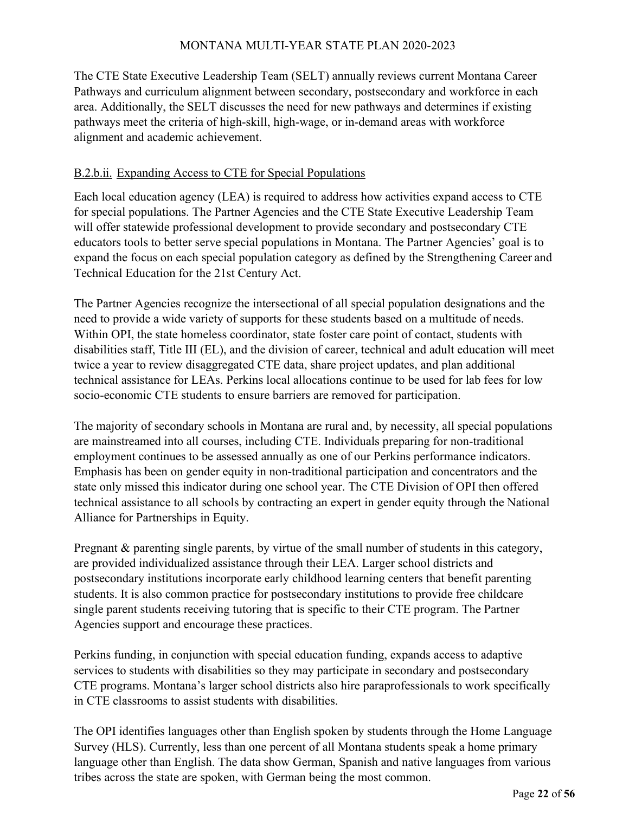The CTE State Executive Leadership Team (SELT) annually reviews current Montana Career Pathways and curriculum alignment between secondary, postsecondary and workforce in each area. Additionally, the SELT discusses the need for new pathways and determines if existing pathways meet the criteria of high-skill, high-wage, or in-demand areas with workforce alignment and academic achievement.

#### B.2.b.ii. Expanding Access to CTE for Special Populations

Each local education agency (LEA) is required to address how activities expand access to CTE for special populations. The Partner Agencies and the CTE State Executive Leadership Team will offer statewide professional development to provide secondary and postsecondary CTE educators tools to better serve special populations in Montana. The Partner Agencies' goal is to expand the focus on each special population category as defined by the Strengthening Career and Technical Education for the 21st Century Act.

The Partner Agencies recognize the intersectional of all special population designations and the need to provide a wide variety of supports for these students based on a multitude of needs. Within OPI, the state homeless coordinator, state foster care point of contact, students with disabilities staff, Title III (EL), and the division of career, technical and adult education will meet twice a year to review disaggregated CTE data, share project updates, and plan additional technical assistance for LEAs. Perkins local allocations continue to be used for lab fees for low socio-economic CTE students to ensure barriers are removed for participation.

The majority of secondary schools in Montana are rural and, by necessity, all special populations are mainstreamed into all courses, including CTE. Individuals preparing for non-traditional employment continues to be assessed annually as one of our Perkins performance indicators. Emphasis has been on gender equity in non-traditional participation and concentrators and the state only missed this indicator during one school year. The CTE Division of OPI then offered technical assistance to all schools by contracting an expert in gender equity through the National Alliance for Partnerships in Equity.

Pregnant & parenting single parents, by virtue of the small number of students in this category, are provided individualized assistance through their LEA. Larger school districts and postsecondary institutions incorporate early childhood learning centers that benefit parenting students. It is also common practice for postsecondary institutions to provide free childcare single parent students receiving tutoring that is specific to their CTE program. The Partner Agencies support and encourage these practices.

Perkins funding, in conjunction with special education funding, expands access to adaptive services to students with disabilities so they may participate in secondary and postsecondary CTE programs. Montana's larger school districts also hire paraprofessionals to work specifically in CTE classrooms to assist students with disabilities.

The OPI identifies languages other than English spoken by students through the Home Language Survey (HLS). Currently, less than one percent of all Montana students speak a home primary language other than English. The data show German, Spanish and native languages from various tribes across the state are spoken, with German being the most common.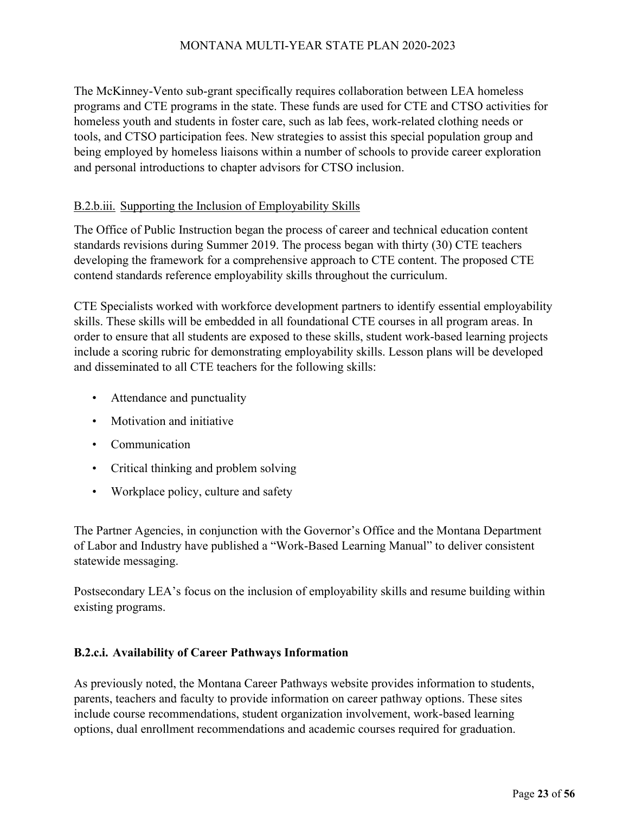The McKinney-Vento sub-grant specifically requires collaboration between LEA homeless programs and CTE programs in the state. These funds are used for CTE and CTSO activities for homeless youth and students in foster care, such as lab fees, work-related clothing needs or tools, and CTSO participation fees. New strategies to assist this special population group and being employed by homeless liaisons within a number of schools to provide career exploration and personal introductions to chapter advisors for CTSO inclusion.

#### B.2.b.iii. Supporting the Inclusion of Employability Skills

The Office of Public Instruction began the process of career and technical education content standards revisions during Summer 2019. The process began with thirty (30) CTE teachers developing the framework for a comprehensive approach to CTE content. The proposed CTE contend standards reference employability skills throughout the curriculum.

CTE Specialists worked with workforce development partners to identify essential employability skills. These skills will be embedded in all foundational CTE courses in all program areas. In order to ensure that all students are exposed to these skills, student work-based learning projects include a scoring rubric for demonstrating employability skills. Lesson plans will be developed and disseminated to all CTE teachers for the following skills:

- Attendance and punctuality
- Motivation and initiative
- Communication
- Critical thinking and problem solving
- Workplace policy, culture and safety

The Partner Agencies, in conjunction with the Governor's Office and the Montana Department of Labor and Industry have published a "Work-Based Learning Manual" to deliver consistent statewide messaging.

Postsecondary LEA's focus on the inclusion of employability skills and resume building within existing programs.

#### **B.2.c.i. Availability of Career Pathways Information**

As previously noted, the Montana Career Pathways website provides information to students, parents, teachers and faculty to provide information on career pathway options. These sites include course recommendations, student organization involvement, work-based learning options, dual enrollment recommendations and academic courses required for graduation.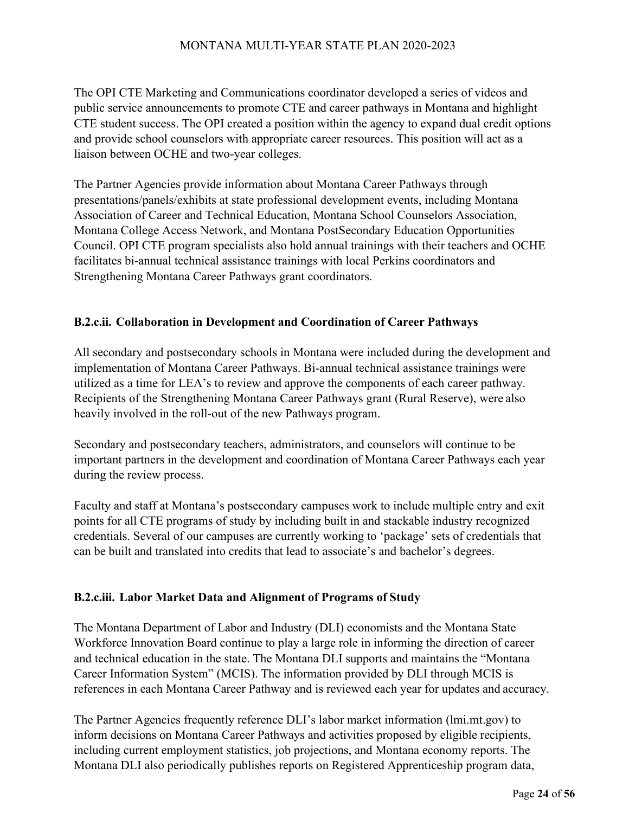The OPI CTE Marketing and Communications coordinator developed a series of videos and public service announcements to promote CTE and career pathways in Montana and highlight CTE student success. The OPI created a position within the agency to expand dual credit options and provide school counselors with appropriate career resources. This position will act as a liaison between OCHE and two-year colleges.

The Partner Agencies provide information about Montana Career Pathways through presentations/panels/exhibits at state professional development events, including Montana Association of Career and Technical Education, Montana School Counselors Association, Montana College Access Network, and Montana PostSecondary Education Opportunities Council. OPI CTE program specialists also hold annual trainings with their teachers and OCHE facilitates bi-annual technical assistance trainings with local Perkins coordinators and Strengthening Montana Career Pathways grant coordinators.

#### **B.2.c.ii. Collaboration in Development and Coordination of Career Pathways**

All secondary and postsecondary schools in Montana were included during the development and implementation of Montana Career Pathways. Bi-annual technical assistance trainings were utilized as a time for LEA's to review and approve the components of each career pathway. Recipients of the Strengthening Montana Career Pathways grant (Rural Reserve), were also heavily involved in the roll-out of the new Pathways program.

Secondary and postsecondary teachers, administrators, and counselors will continue to be important partners in the development and coordination of Montana Career Pathways each year during the review process.

Faculty and staff at Montana's postsecondary campuses work to include multiple entry and exit points for all CTE programs of study by including built in and stackable industry recognized credentials. Several of our campuses are currently working to 'package' sets of credentials that can be built and translated into credits that lead to associate's and bachelor's degrees.

#### **B.2.c.iii. Labor Market Data and Alignment of Programs of Study**

The Montana Department of Labor and Industry (DLI) economists and the Montana State Workforce Innovation Board continue to play a large role in informing the direction of career and technical education in the state. The Montana DLI supports and maintains the "Montana Career Information System" (MCIS). The information provided by DLI through MCIS is references in each Montana Career Pathway and is reviewed each year for updates and accuracy.

The Partner Agencies frequently reference DLI's labor market information (lmi.mt.gov) to inform decisions on Montana Career Pathways and activities proposed by eligible recipients, including current employment statistics, job projections, and Montana economy reports. The Montana DLI also periodically publishes reports on Registered Apprenticeship program data,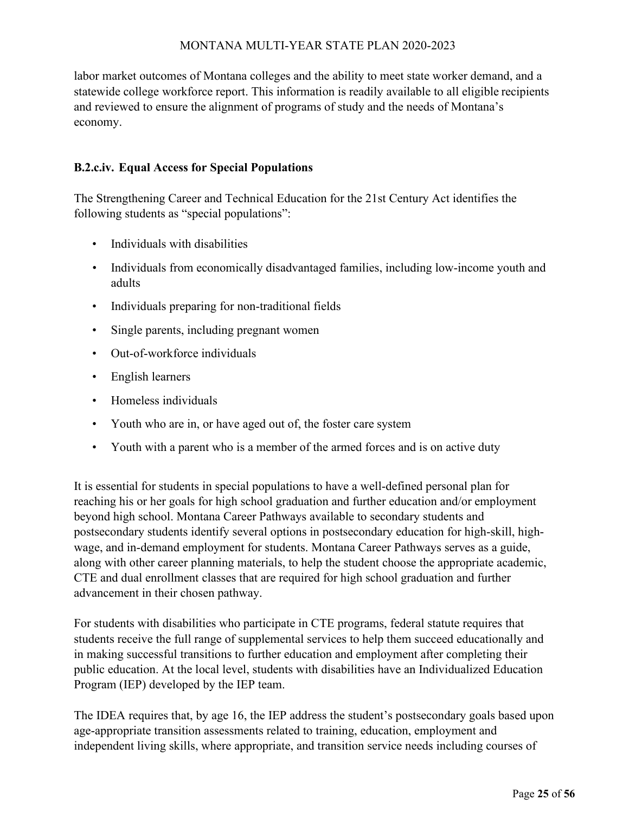labor market outcomes of Montana colleges and the ability to meet state worker demand, and a statewide college workforce report. This information is readily available to all eligible recipients and reviewed to ensure the alignment of programs of study and the needs of Montana's economy.

# **B.2.c.iv. Equal Access for Special Populations**

The Strengthening Career and Technical Education for the 21st Century Act identifies the following students as "special populations":

- Individuals with disabilities
- Individuals from economically disadvantaged families, including low-income youth and adults
- Individuals preparing for non-traditional fields
- Single parents, including pregnant women
- Out-of-workforce individuals
- English learners
- Homeless individuals
- Youth who are in, or have aged out of, the foster care system
- Youth with a parent who is a member of the armed forces and is on active duty

It is essential for students in special populations to have a well-defined personal plan for reaching his or her goals for high school graduation and further education and/or employment beyond high school. Montana Career Pathways available to secondary students and postsecondary students identify several options in postsecondary education for high-skill, highwage, and in-demand employment for students. Montana Career Pathways serves as a guide, along with other career planning materials, to help the student choose the appropriate academic, CTE and dual enrollment classes that are required for high school graduation and further advancement in their chosen pathway.

For students with disabilities who participate in CTE programs, federal statute requires that students receive the full range of supplemental services to help them succeed educationally and in making successful transitions to further education and employment after completing their public education. At the local level, students with disabilities have an Individualized Education Program (IEP) developed by the IEP team.

The IDEA requires that, by age 16, the IEP address the student's postsecondary goals based upon age-appropriate transition assessments related to training, education, employment and independent living skills, where appropriate, and transition service needs including courses of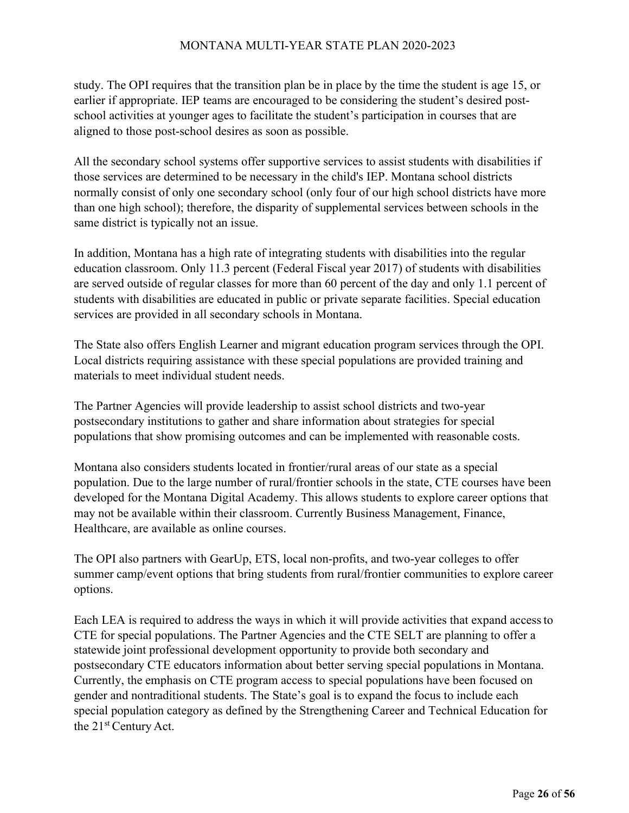study. The OPI requires that the transition plan be in place by the time the student is age 15, or earlier if appropriate. IEP teams are encouraged to be considering the student's desired postschool activities at younger ages to facilitate the student's participation in courses that are aligned to those post-school desires as soon as possible.

All the secondary school systems offer supportive services to assist students with disabilities if those services are determined to be necessary in the child's IEP. Montana school districts normally consist of only one secondary school (only four of our high school districts have more than one high school); therefore, the disparity of supplemental services between schools in the same district is typically not an issue.

In addition, Montana has a high rate of integrating students with disabilities into the regular education classroom. Only 11.3 percent (Federal Fiscal year 2017) of students with disabilities are served outside of regular classes for more than 60 percent of the day and only 1.1 percent of students with disabilities are educated in public or private separate facilities. Special education services are provided in all secondary schools in Montana.

The State also offers English Learner and migrant education program services through the OPI. Local districts requiring assistance with these special populations are provided training and materials to meet individual student needs.

The Partner Agencies will provide leadership to assist school districts and two-year postsecondary institutions to gather and share information about strategies for special populations that show promising outcomes and can be implemented with reasonable costs.

Montana also considers students located in frontier/rural areas of our state as a special population. Due to the large number of rural/frontier schools in the state, CTE courses have been developed for the Montana Digital Academy. This allows students to explore career options that may not be available within their classroom. Currently Business Management, Finance, Healthcare, are available as online courses.

The OPI also partners with GearUp, ETS, local non-profits, and two-year colleges to offer summer camp/event options that bring students from rural/frontier communities to explore career options.

Each LEA is required to address the ways in which it will provide activities that expand accessto CTE for special populations. The Partner Agencies and the CTE SELT are planning to offer a statewide joint professional development opportunity to provide both secondary and postsecondary CTE educators information about better serving special populations in Montana. Currently, the emphasis on CTE program access to special populations have been focused on gender and nontraditional students. The State's goal is to expand the focus to include each special population category as defined by the Strengthening Career and Technical Education for the 21<sup>st</sup> Century Act.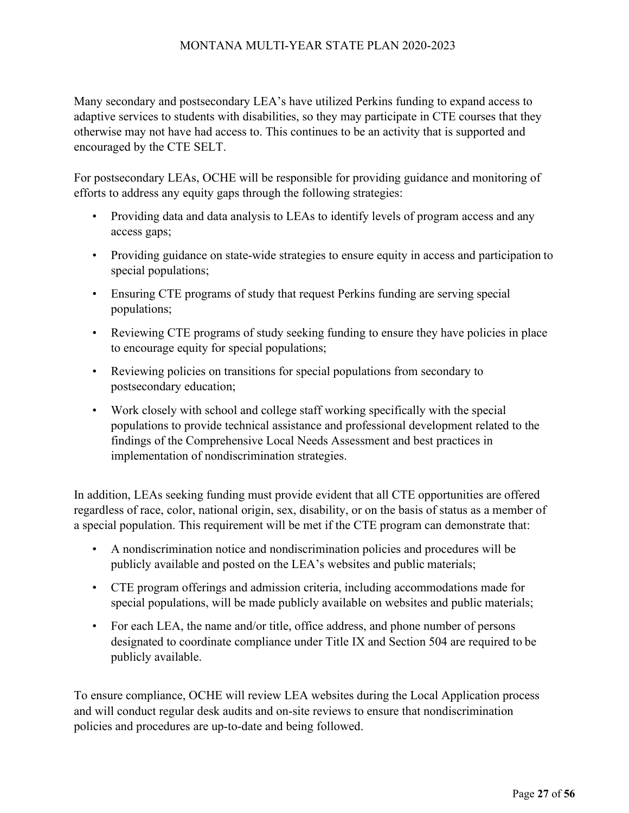Many secondary and postsecondary LEA's have utilized Perkins funding to expand access to adaptive services to students with disabilities, so they may participate in CTE courses that they otherwise may not have had access to. This continues to be an activity that is supported and encouraged by the CTE SELT.

For postsecondary LEAs, OCHE will be responsible for providing guidance and monitoring of efforts to address any equity gaps through the following strategies:

- Providing data and data analysis to LEAs to identify levels of program access and any access gaps;
- Providing guidance on state-wide strategies to ensure equity in access and participation to special populations;
- Ensuring CTE programs of study that request Perkins funding are serving special populations;
- Reviewing CTE programs of study seeking funding to ensure they have policies in place to encourage equity for special populations;
- Reviewing policies on transitions for special populations from secondary to postsecondary education;
- Work closely with school and college staff working specifically with the special populations to provide technical assistance and professional development related to the findings of the Comprehensive Local Needs Assessment and best practices in implementation of nondiscrimination strategies.

In addition, LEAs seeking funding must provide evident that all CTE opportunities are offered regardless of race, color, national origin, sex, disability, or on the basis of status as a member of a special population. This requirement will be met if the CTE program can demonstrate that:

- A nondiscrimination notice and nondiscrimination policies and procedures will be publicly available and posted on the LEA's websites and public materials;
- CTE program offerings and admission criteria, including accommodations made for special populations, will be made publicly available on websites and public materials;
- For each LEA, the name and/or title, office address, and phone number of persons designated to coordinate compliance under Title IX and Section 504 are required to be publicly available.

To ensure compliance, OCHE will review LEA websites during the Local Application process and will conduct regular desk audits and on-site reviews to ensure that nondiscrimination policies and procedures are up-to-date and being followed.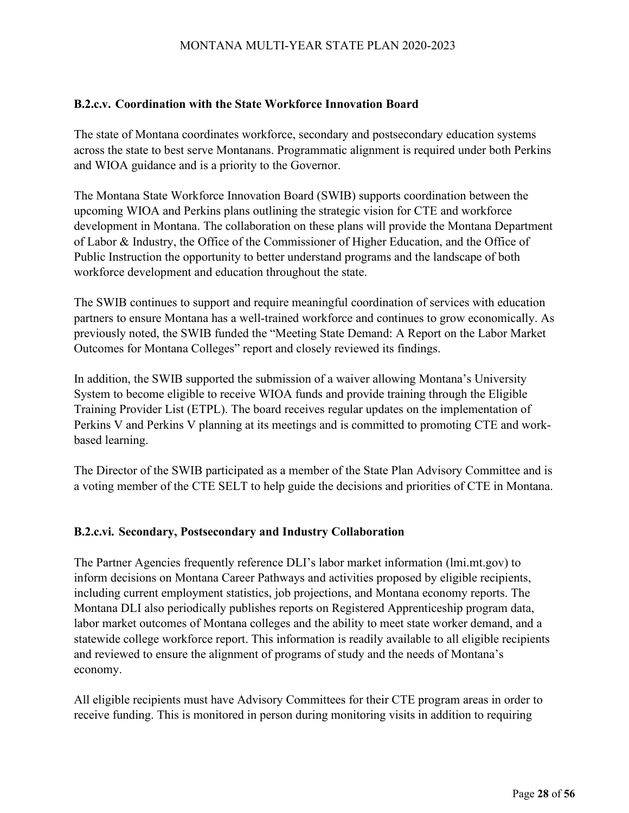#### **B.2.c.v. Coordination with the State Workforce Innovation Board**

The state of Montana coordinates workforce, secondary and postsecondary education systems across the state to best serve Montanans. Programmatic alignment is required under both Perkins and WIOA guidance and is a priority to the Governor.

The Montana State Workforce Innovation Board (SWIB) supports coordination between the upcoming WIOA and Perkins plans outlining the strategic vision for CTE and workforce development in Montana. The collaboration on these plans will provide the Montana Department of Labor & Industry, the Office of the Commissioner of Higher Education, and the Office of Public Instruction the opportunity to better understand programs and the landscape of both workforce development and education throughout the state.

The SWIB continues to support and require meaningful coordination of services with education partners to ensure Montana has a well-trained workforce and continues to grow economically. As previously noted, the SWIB funded the "Meeting State Demand: A Report on the Labor Market Outcomes for Montana Colleges" report and closely reviewed its findings.

In addition, the SWIB supported the submission of a waiver allowing Montana's University System to become eligible to receive WIOA funds and provide training through the Eligible Training Provider List (ETPL). The board receives regular updates on the implementation of Perkins V and Perkins V planning at its meetings and is committed to promoting CTE and workbased learning.

The Director of the SWIB participated as a member of the State Plan Advisory Committee and is a voting member of the CTE SELT to help guide the decisions and priorities of CTE in Montana.

#### **B.2.c.vi. Secondary, Postsecondary and Industry Collaboration**

The Partner Agencies frequently reference DLI's labor market information (lmi.mt.gov) to inform decisions on Montana Career Pathways and activities proposed by eligible recipients, including current employment statistics, job projections, and Montana economy reports. The Montana DLI also periodically publishes reports on Registered Apprenticeship program data, labor market outcomes of Montana colleges and the ability to meet state worker demand, and a statewide college workforce report. This information is readily available to all eligible recipients and reviewed to ensure the alignment of programs of study and the needs of Montana's economy.

All eligible recipients must have Advisory Committees for their CTE program areas in order to receive funding. This is monitored in person during monitoring visits in addition to requiring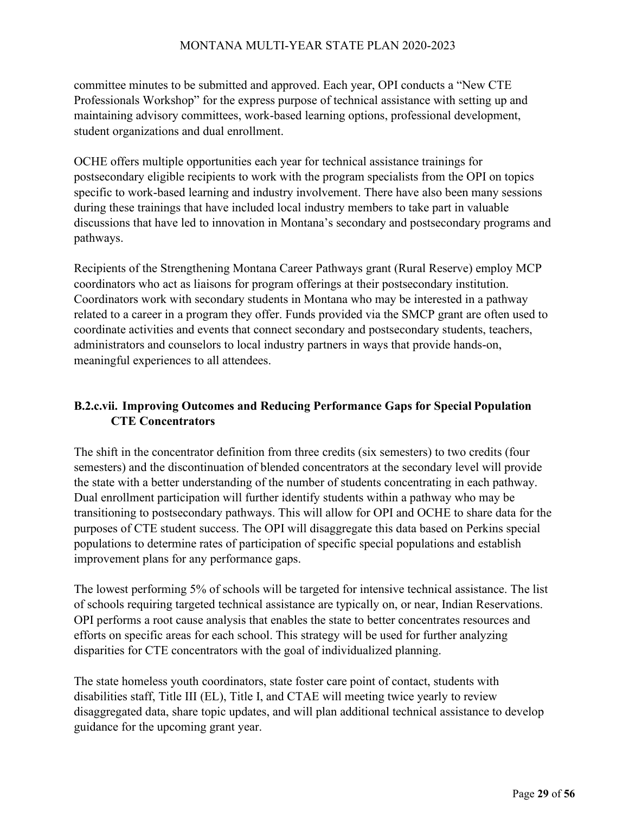committee minutes to be submitted and approved. Each year, OPI conducts a "New CTE Professionals Workshop" for the express purpose of technical assistance with setting up and maintaining advisory committees, work-based learning options, professional development, student organizations and dual enrollment.

OCHE offers multiple opportunities each year for technical assistance trainings for postsecondary eligible recipients to work with the program specialists from the OPI on topics specific to work-based learning and industry involvement. There have also been many sessions during these trainings that have included local industry members to take part in valuable discussions that have led to innovation in Montana's secondary and postsecondary programs and pathways.

Recipients of the Strengthening Montana Career Pathways grant (Rural Reserve) employ MCP coordinators who act as liaisons for program offerings at their postsecondary institution. Coordinators work with secondary students in Montana who may be interested in a pathway related to a career in a program they offer. Funds provided via the SMCP grant are often used to coordinate activities and events that connect secondary and postsecondary students, teachers, administrators and counselors to local industry partners in ways that provide hands-on, meaningful experiences to all attendees.

# **B.2.c.vii. Improving Outcomes and Reducing Performance Gaps for Special Population CTE Concentrators**

The shift in the concentrator definition from three credits (six semesters) to two credits (four semesters) and the discontinuation of blended concentrators at the secondary level will provide the state with a better understanding of the number of students concentrating in each pathway. Dual enrollment participation will further identify students within a pathway who may be transitioning to postsecondary pathways. This will allow for OPI and OCHE to share data for the purposes of CTE student success. The OPI will disaggregate this data based on Perkins special populations to determine rates of participation of specific special populations and establish improvement plans for any performance gaps.

The lowest performing 5% of schools will be targeted for intensive technical assistance. The list of schools requiring targeted technical assistance are typically on, or near, Indian Reservations. OPI performs a root cause analysis that enables the state to better concentrates resources and efforts on specific areas for each school. This strategy will be used for further analyzing disparities for CTE concentrators with the goal of individualized planning.

The state homeless youth coordinators, state foster care point of contact, students with disabilities staff, Title III (EL), Title I, and CTAE will meeting twice yearly to review disaggregated data, share topic updates, and will plan additional technical assistance to develop guidance for the upcoming grant year.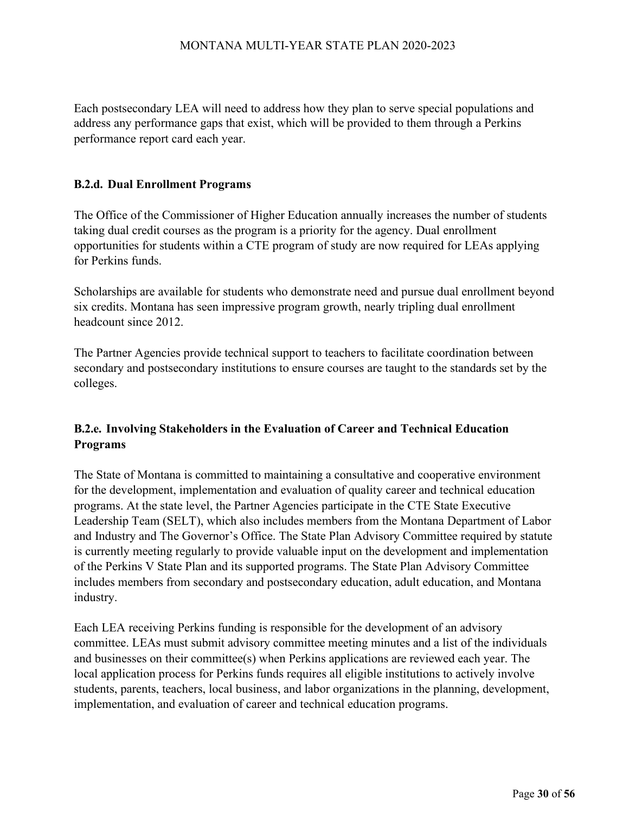Each postsecondary LEA will need to address how they plan to serve special populations and address any performance gaps that exist, which will be provided to them through a Perkins performance report card each year.

#### **B.2.d. Dual Enrollment Programs**

The Office of the Commissioner of Higher Education annually increases the number of students taking dual credit courses as the program is a priority for the agency. Dual enrollment opportunities for students within a CTE program of study are now required for LEAs applying for Perkins funds.

Scholarships are available for students who demonstrate need and pursue dual enrollment beyond six credits. Montana has seen impressive program growth, nearly tripling dual enrollment headcount since 2012.

The Partner Agencies provide technical support to teachers to facilitate coordination between secondary and postsecondary institutions to ensure courses are taught to the standards set by the colleges.

# **B.2.e. Involving Stakeholders in the Evaluation of Career and Technical Education Programs**

The State of Montana is committed to maintaining a consultative and cooperative environment for the development, implementation and evaluation of quality career and technical education programs. At the state level, the Partner Agencies participate in the CTE State Executive Leadership Team (SELT), which also includes members from the Montana Department of Labor and Industry and The Governor's Office. The State Plan Advisory Committee required by statute is currently meeting regularly to provide valuable input on the development and implementation of the Perkins V State Plan and its supported programs. The State Plan Advisory Committee includes members from secondary and postsecondary education, adult education, and Montana industry.

Each LEA receiving Perkins funding is responsible for the development of an advisory committee. LEAs must submit advisory committee meeting minutes and a list of the individuals and businesses on their committee(s) when Perkins applications are reviewed each year. The local application process for Perkins funds requires all eligible institutions to actively involve students, parents, teachers, local business, and labor organizations in the planning, development, implementation, and evaluation of career and technical education programs.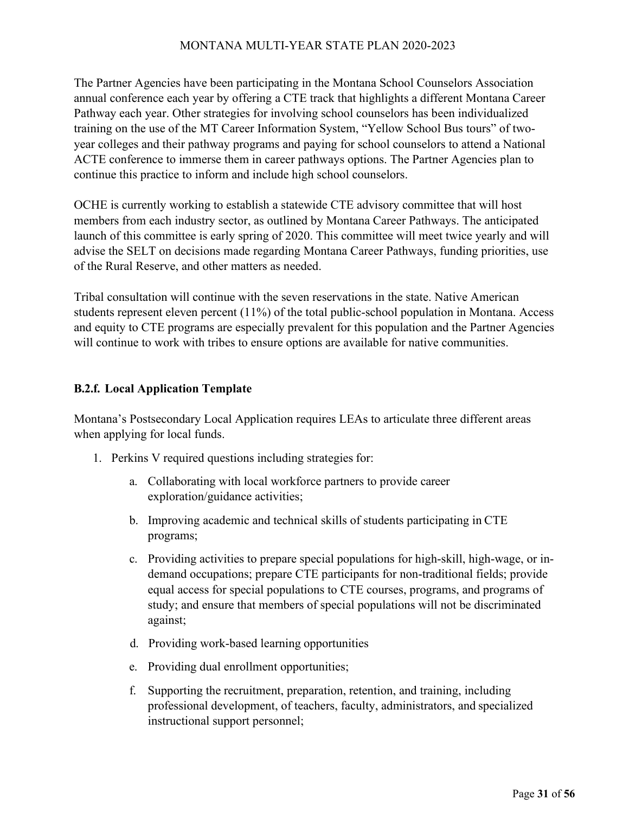The Partner Agencies have been participating in the Montana School Counselors Association annual conference each year by offering a CTE track that highlights a different Montana Career Pathway each year. Other strategies for involving school counselors has been individualized training on the use of the MT Career Information System, "Yellow School Bus tours" of twoyear colleges and their pathway programs and paying for school counselors to attend a National ACTE conference to immerse them in career pathways options. The Partner Agencies plan to continue this practice to inform and include high school counselors.

OCHE is currently working to establish a statewide CTE advisory committee that will host members from each industry sector, as outlined by Montana Career Pathways. The anticipated launch of this committee is early spring of 2020. This committee will meet twice yearly and will advise the SELT on decisions made regarding Montana Career Pathways, funding priorities, use of the Rural Reserve, and other matters as needed.

Tribal consultation will continue with the seven reservations in the state. Native American students represent eleven percent (11%) of the total public-school population in Montana. Access and equity to CTE programs are especially prevalent for this population and the Partner Agencies will continue to work with tribes to ensure options are available for native communities.

#### **B.2.f. Local Application Template**

Montana's Postsecondary Local Application requires LEAs to articulate three different areas when applying for local funds.

- 1. Perkins V required questions including strategies for:
	- a. Collaborating with local workforce partners to provide career exploration/guidance activities;
	- b. Improving academic and technical skills of students participating in CTE programs;
	- c. Providing activities to prepare special populations for high-skill, high-wage, or indemand occupations; prepare CTE participants for non-traditional fields; provide equal access for special populations to CTE courses, programs, and programs of study; and ensure that members of special populations will not be discriminated against;
	- d. Providing work-based learning opportunities
	- e. Providing dual enrollment opportunities;
	- f. Supporting the recruitment, preparation, retention, and training, including professional development, of teachers, faculty, administrators, and specialized instructional support personnel;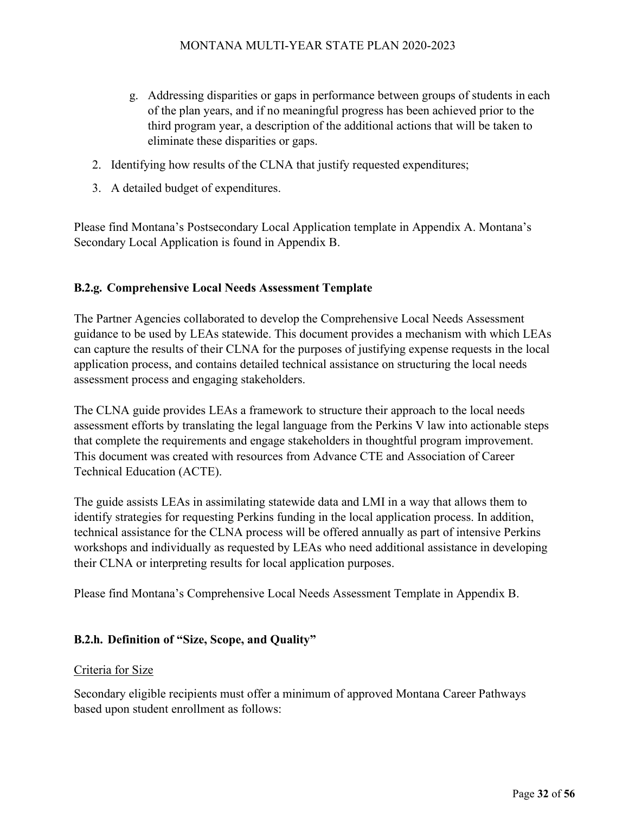- g. Addressing disparities or gaps in performance between groups of students in each of the plan years, and if no meaningful progress has been achieved prior to the third program year, a description of the additional actions that will be taken to eliminate these disparities or gaps.
- 2. Identifying how results of the CLNA that justify requested expenditures;
- 3. A detailed budget of expenditures.

Please find Montana's Postsecondary Local Application template in Appendix A. Montana's Secondary Local Application is found in Appendix B.

# **B.2.g. Comprehensive Local Needs Assessment Template**

The Partner Agencies collaborated to develop the Comprehensive Local Needs Assessment guidance to be used by LEAs statewide. This document provides a mechanism with which LEAs can capture the results of their CLNA for the purposes of justifying expense requests in the local application process, and contains detailed technical assistance on structuring the local needs assessment process and engaging stakeholders.

The CLNA guide provides LEAs a framework to structure their approach to the local needs assessment efforts by translating the legal language from the Perkins V law into actionable steps that complete the requirements and engage stakeholders in thoughtful program improvement. This document was created with resources from Advance CTE and Association of Career Technical Education (ACTE).

The guide assists LEAs in assimilating statewide data and LMI in a way that allows them to identify strategies for requesting Perkins funding in the local application process. In addition, technical assistance for the CLNA process will be offered annually as part of intensive Perkins workshops and individually as requested by LEAs who need additional assistance in developing their CLNA or interpreting results for local application purposes.

Please find Montana's Comprehensive Local Needs Assessment Template in Appendix B.

# **B.2.h. Definition of "Size, Scope, and Quality"**

#### Criteria for Size

Secondary eligible recipients must offer a minimum of approved Montana Career Pathways based upon student enrollment as follows: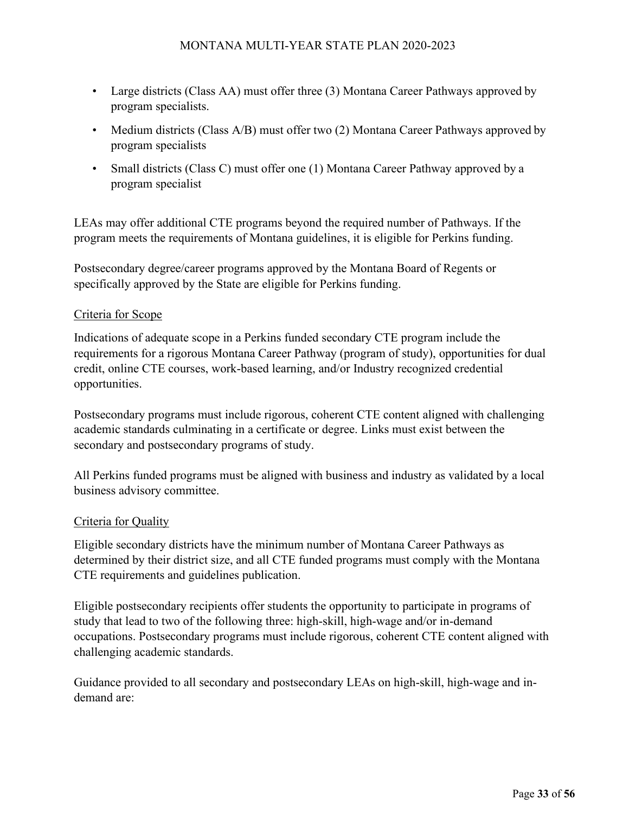- Large districts (Class AA) must offer three (3) Montana Career Pathways approved by program specialists.
- Medium districts (Class A/B) must offer two (2) Montana Career Pathways approved by program specialists
- Small districts (Class C) must offer one (1) Montana Career Pathway approved by a program specialist

LEAs may offer additional CTE programs beyond the required number of Pathways. If the program meets the requirements of Montana guidelines, it is eligible for Perkins funding.

Postsecondary degree/career programs approved by the Montana Board of Regents or specifically approved by the State are eligible for Perkins funding.

#### Criteria for Scope

Indications of adequate scope in a Perkins funded secondary CTE program include the requirements for a rigorous Montana Career Pathway (program of study), opportunities for dual credit, online CTE courses, work-based learning, and/or Industry recognized credential opportunities.

Postsecondary programs must include rigorous, coherent CTE content aligned with challenging academic standards culminating in a certificate or degree. Links must exist between the secondary and postsecondary programs of study.

All Perkins funded programs must be aligned with business and industry as validated by a local business advisory committee.

#### Criteria for Quality

Eligible secondary districts have the minimum number of Montana Career Pathways as determined by their district size, and all CTE funded programs must comply with the Montana CTE requirements and guidelines publication.

Eligible postsecondary recipients offer students the opportunity to participate in programs of study that lead to two of the following three: high-skill, high-wage and/or in-demand occupations. Postsecondary programs must include rigorous, coherent CTE content aligned with challenging academic standards.

Guidance provided to all secondary and postsecondary LEAs on high-skill, high-wage and indemand are: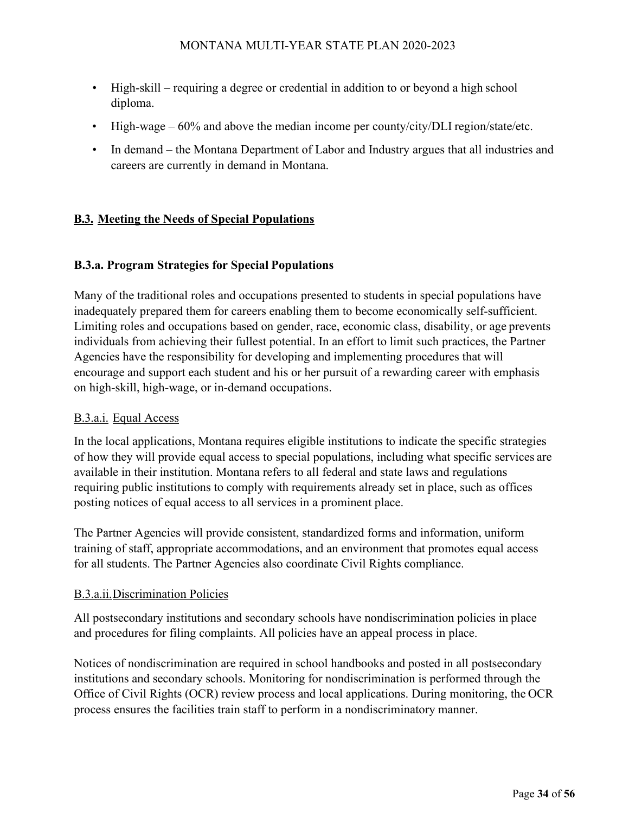- High-skill requiring a degree or credential in addition to or beyond a high school diploma.
- High-wage  $-60\%$  and above the median income per county/city/DLI region/state/etc.
- In demand the Montana Department of Labor and Industry argues that all industries and careers are currently in demand in Montana.

# **B.3. Meeting the Needs of Special Populations**

#### **B.3.a. Program Strategies for Special Populations**

Many of the traditional roles and occupations presented to students in special populations have inadequately prepared them for careers enabling them to become economically self-sufficient. Limiting roles and occupations based on gender, race, economic class, disability, or age prevents individuals from achieving their fullest potential. In an effort to limit such practices, the Partner Agencies have the responsibility for developing and implementing procedures that will encourage and support each student and his or her pursuit of a rewarding career with emphasis on high-skill, high-wage, or in-demand occupations.

#### B.3.a.i. Equal Access

In the local applications, Montana requires eligible institutions to indicate the specific strategies of how they will provide equal access to special populations, including what specific services are available in their institution. Montana refers to all federal and state laws and regulations requiring public institutions to comply with requirements already set in place, such as offices posting notices of equal access to all services in a prominent place.

The Partner Agencies will provide consistent, standardized forms and information, uniform training of staff, appropriate accommodations, and an environment that promotes equal access for all students. The Partner Agencies also coordinate Civil Rights compliance.

#### B.3.a.ii.Discrimination Policies

All postsecondary institutions and secondary schools have nondiscrimination policies in place and procedures for filing complaints. All policies have an appeal process in place.

Notices of nondiscrimination are required in school handbooks and posted in all postsecondary institutions and secondary schools. Monitoring for nondiscrimination is performed through the Office of Civil Rights (OCR) review process and local applications. During monitoring, the OCR process ensures the facilities train staff to perform in a nondiscriminatory manner.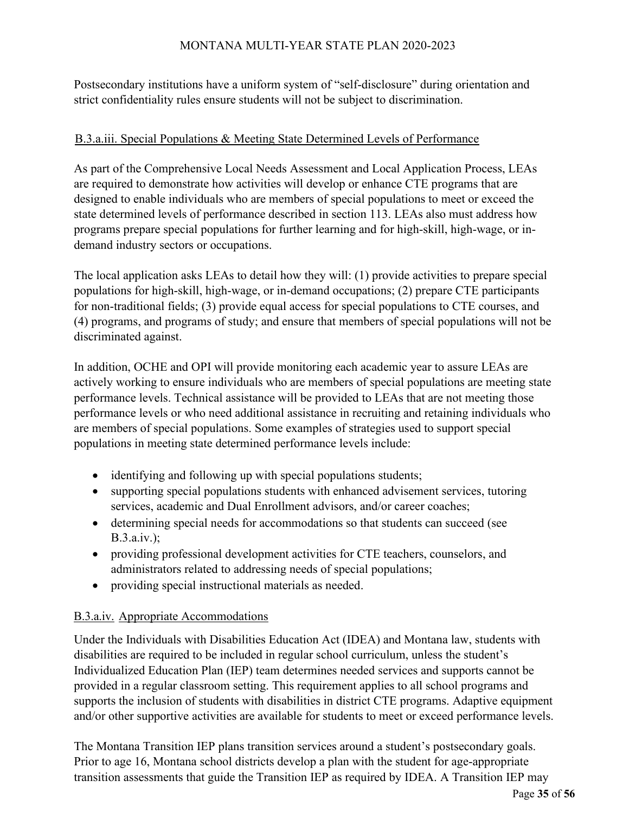Postsecondary institutions have a uniform system of "self-disclosure" during orientation and strict confidentiality rules ensure students will not be subject to discrimination.

#### B.3.a.iii. Special Populations & Meeting State Determined Levels of Performance

As part of the Comprehensive Local Needs Assessment and Local Application Process, LEAs are required to demonstrate how activities will develop or enhance CTE programs that are designed to enable individuals who are members of special populations to meet or exceed the state determined levels of performance described in section 113. LEAs also must address how programs prepare special populations for further learning and for high-skill, high-wage, or indemand industry sectors or occupations.

The local application asks LEAs to detail how they will: (1) provide activities to prepare special populations for high-skill, high-wage, or in-demand occupations; (2) prepare CTE participants for non-traditional fields; (3) provide equal access for special populations to CTE courses, and (4) programs, and programs of study; and ensure that members of special populations will not be discriminated against.

In addition, OCHE and OPI will provide monitoring each academic year to assure LEAs are actively working to ensure individuals who are members of special populations are meeting state performance levels. Technical assistance will be provided to LEAs that are not meeting those performance levels or who need additional assistance in recruiting and retaining individuals who are members of special populations. Some examples of strategies used to support special populations in meeting state determined performance levels include:

- identifying and following up with special populations students;
- supporting special populations students with enhanced advisement services, tutoring services, academic and Dual Enrollment advisors, and/or career coaches;
- determining special needs for accommodations so that students can succeed (see B.3.a.iv.);
- providing professional development activities for CTE teachers, counselors, and administrators related to addressing needs of special populations;
- providing special instructional materials as needed.

#### B.3.a.iv. Appropriate Accommodations

Under the Individuals with Disabilities Education Act (IDEA) and Montana law, students with disabilities are required to be included in regular school curriculum, unless the student's Individualized Education Plan (IEP) team determines needed services and supports cannot be provided in a regular classroom setting. This requirement applies to all school programs and supports the inclusion of students with disabilities in district CTE programs. Adaptive equipment and/or other supportive activities are available for students to meet or exceed performance levels.

The Montana Transition IEP plans transition services around a student's postsecondary goals. Prior to age 16, Montana school districts develop a plan with the student for age-appropriate transition assessments that guide the Transition IEP as required by IDEA. A Transition IEP may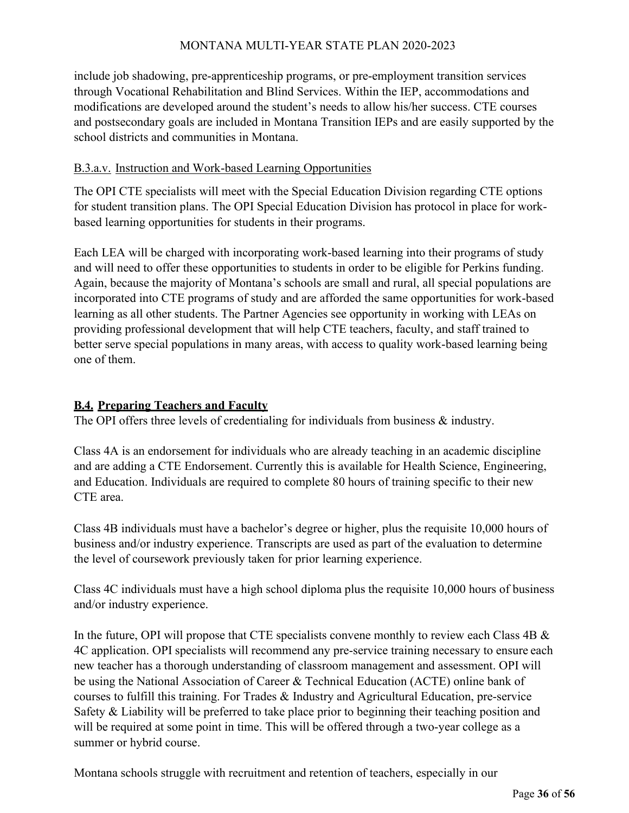include job shadowing, pre-apprenticeship programs, or pre-employment transition services through Vocational Rehabilitation and Blind Services. Within the IEP, accommodations and modifications are developed around the student's needs to allow his/her success. CTE courses and postsecondary goals are included in Montana Transition IEPs and are easily supported by the school districts and communities in Montana.

#### B.3.a.v. Instruction and Work-based Learning Opportunities

The OPI CTE specialists will meet with the Special Education Division regarding CTE options for student transition plans. The OPI Special Education Division has protocol in place for workbased learning opportunities for students in their programs.

Each LEA will be charged with incorporating work-based learning into their programs of study and will need to offer these opportunities to students in order to be eligible for Perkins funding. Again, because the majority of Montana's schools are small and rural, all special populations are incorporated into CTE programs of study and are afforded the same opportunities for work-based learning as all other students. The Partner Agencies see opportunity in working with LEAs on providing professional development that will help CTE teachers, faculty, and staff trained to better serve special populations in many areas, with access to quality work-based learning being one of them.

#### **B.4. Preparing Teachers and Faculty**

The OPI offers three levels of credentialing for individuals from business & industry.

Class 4A is an endorsement for individuals who are already teaching in an academic discipline and are adding a CTE Endorsement. Currently this is available for Health Science, Engineering, and Education. Individuals are required to complete 80 hours of training specific to their new CTE area.

Class 4B individuals must have a bachelor's degree or higher, plus the requisite 10,000 hours of business and/or industry experience. Transcripts are used as part of the evaluation to determine the level of coursework previously taken for prior learning experience.

Class 4C individuals must have a high school diploma plus the requisite 10,000 hours of business and/or industry experience.

In the future, OPI will propose that CTE specialists convene monthly to review each Class 4B & 4C application. OPI specialists will recommend any pre-service training necessary to ensure each new teacher has a thorough understanding of classroom management and assessment. OPI will be using the National Association of Career & Technical Education (ACTE) online bank of courses to fulfill this training. For Trades & Industry and Agricultural Education, pre-service Safety & Liability will be preferred to take place prior to beginning their teaching position and will be required at some point in time. This will be offered through a two-year college as a summer or hybrid course.

Montana schools struggle with recruitment and retention of teachers, especially in our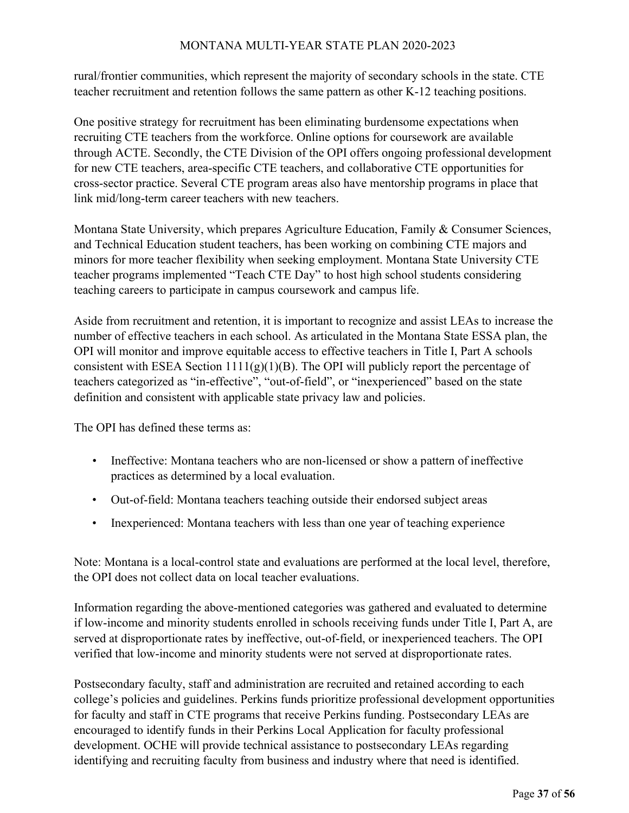rural/frontier communities, which represent the majority of secondary schools in the state. CTE teacher recruitment and retention follows the same pattern as other K-12 teaching positions.

One positive strategy for recruitment has been eliminating burdensome expectations when recruiting CTE teachers from the workforce. Online options for coursework are available through ACTE. Secondly, the CTE Division of the OPI offers ongoing professional development for new CTE teachers, area-specific CTE teachers, and collaborative CTE opportunities for cross-sector practice. Several CTE program areas also have mentorship programs in place that link mid/long-term career teachers with new teachers.

Montana State University, which prepares Agriculture Education, Family & Consumer Sciences, and Technical Education student teachers, has been working on combining CTE majors and minors for more teacher flexibility when seeking employment. Montana State University CTE teacher programs implemented "Teach CTE Day" to host high school students considering teaching careers to participate in campus coursework and campus life.

Aside from recruitment and retention, it is important to recognize and assist LEAs to increase the number of effective teachers in each school. As articulated in the Montana State ESSA plan, the OPI will monitor and improve equitable access to effective teachers in Title I, Part A schools consistent with ESEA Section  $1111(g)(1)(B)$ . The OPI will publicly report the percentage of teachers categorized as "in-effective", "out-of-field", or "inexperienced" based on the state definition and consistent with applicable state privacy law and policies.

The OPI has defined these terms as:

- Ineffective: Montana teachers who are non-licensed or show a pattern of ineffective practices as determined by a local evaluation.
- Out-of-field: Montana teachers teaching outside their endorsed subject areas
- Inexperienced: Montana teachers with less than one year of teaching experience

Note: Montana is a local-control state and evaluations are performed at the local level, therefore, the OPI does not collect data on local teacher evaluations.

Information regarding the above-mentioned categories was gathered and evaluated to determine if low-income and minority students enrolled in schools receiving funds under Title I, Part A, are served at disproportionate rates by ineffective, out-of-field, or inexperienced teachers. The OPI verified that low-income and minority students were not served at disproportionate rates.

Postsecondary faculty, staff and administration are recruited and retained according to each college's policies and guidelines. Perkins funds prioritize professional development opportunities for faculty and staff in CTE programs that receive Perkins funding. Postsecondary LEAs are encouraged to identify funds in their Perkins Local Application for faculty professional development. OCHE will provide technical assistance to postsecondary LEAs regarding identifying and recruiting faculty from business and industry where that need is identified.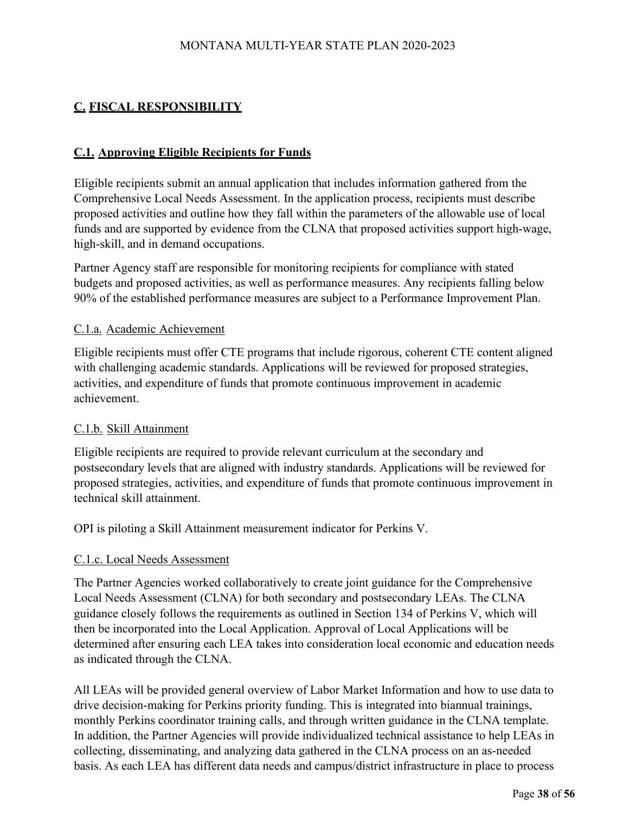# **C. FISCAL RESPONSIBILITY**

# **C.1. Approving Eligible Recipients for Funds**

Eligible recipients submit an annual application that includes information gathered from the Comprehensive Local Needs Assessment. In the application process, recipients must describe proposed activities and outline how they fall within the parameters of the allowable use of local funds and are supported by evidence from the CLNA that proposed activities support high-wage, high-skill, and in demand occupations.

Partner Agency staff are responsible for monitoring recipients for compliance with stated budgets and proposed activities, as well as performance measures. Any recipients falling below 90% of the established performance measures are subject to a Performance Improvement Plan.

#### C.1.a. Academic Achievement

Eligible recipients must offer CTE programs that include rigorous, coherent CTE content aligned with challenging academic standards. Applications will be reviewed for proposed strategies, activities, and expenditure of funds that promote continuous improvement in academic achievement.

#### C.1.b. Skill Attainment

Eligible recipients are required to provide relevant curriculum at the secondary and postsecondary levels that are aligned with industry standards. Applications will be reviewed for proposed strategies, activities, and expenditure of funds that promote continuous improvement in technical skill attainment.

OPI is piloting a Skill Attainment measurement indicator for Perkins V.

#### C.1.c. Local Needs Assessment

The Partner Agencies worked collaboratively to create joint guidance for the Comprehensive Local Needs Assessment (CLNA) for both secondary and postsecondary LEAs. The CLNA guidance closely follows the requirements as outlined in Section 134 of Perkins V, which will then be incorporated into the Local Application. Approval of Local Applications will be determined after ensuring each LEA takes into consideration local economic and education needs as indicated through the CLNA.

All LEAs will be provided general overview of Labor Market Information and how to use data to drive decision-making for Perkins priority funding. This is integrated into biannual trainings, monthly Perkins coordinator training calls, and through written guidance in the CLNA template. In addition, the Partner Agencies will provide individualized technical assistance to help LEAs in collecting, disseminating, and analyzing data gathered in the CLNA process on an as-needed basis. As each LEA has different data needs and campus/district infrastructure in place to process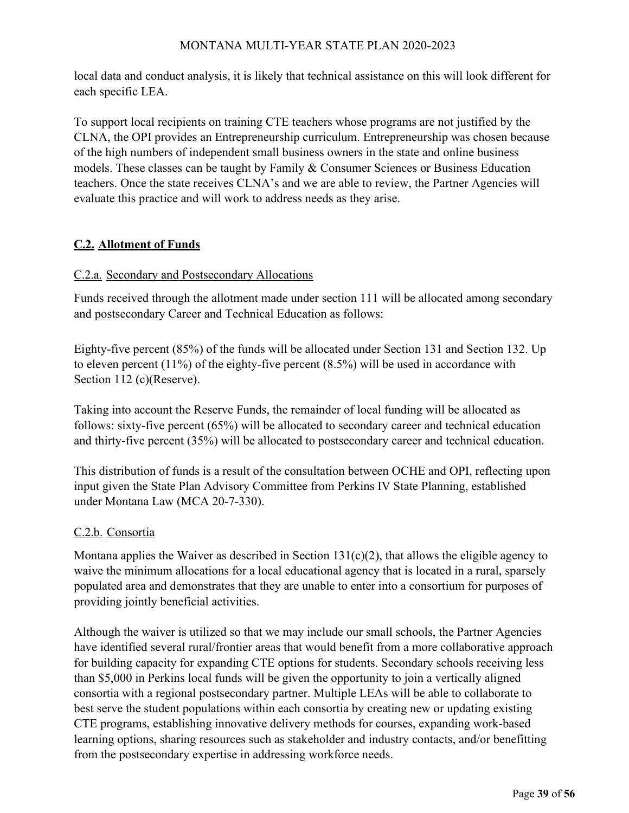local data and conduct analysis, it is likely that technical assistance on this will look different for each specific LEA.

To support local recipients on training CTE teachers whose programs are not justified by the CLNA, the OPI provides an Entrepreneurship curriculum. Entrepreneurship was chosen because of the high numbers of independent small business owners in the state and online business models. These classes can be taught by Family & Consumer Sciences or Business Education teachers. Once the state receives CLNA's and we are able to review, the Partner Agencies will evaluate this practice and will work to address needs as they arise.

# **C.2. Allotment of Funds**

# C.2.a. Secondary and Postsecondary Allocations

Funds received through the allotment made under section 111 will be allocated among secondary and postsecondary Career and Technical Education as follows:

Eighty-five percent (85%) of the funds will be allocated under Section 131 and Section 132. Up to eleven percent (11%) of the eighty-five percent (8.5%) will be used in accordance with Section 112 (c)(Reserve).

Taking into account the Reserve Funds, the remainder of local funding will be allocated as follows: sixty-five percent (65%) will be allocated to secondary career and technical education and thirty-five percent (35%) will be allocated to postsecondary career and technical education.

This distribution of funds is a result of the consultation between OCHE and OPI, reflecting upon input given the State Plan Advisory Committee from Perkins IV State Planning, established under Montana Law (MCA 20-7-330).

# C.2.b. Consortia

Montana applies the Waiver as described in Section  $131(c)(2)$ , that allows the eligible agency to waive the minimum allocations for a local educational agency that is located in a rural, sparsely populated area and demonstrates that they are unable to enter into a consortium for purposes of providing jointly beneficial activities.

Although the waiver is utilized so that we may include our small schools, the Partner Agencies have identified several rural/frontier areas that would benefit from a more collaborative approach for building capacity for expanding CTE options for students. Secondary schools receiving less than \$5,000 in Perkins local funds will be given the opportunity to join a vertically aligned consortia with a regional postsecondary partner. Multiple LEAs will be able to collaborate to best serve the student populations within each consortia by creating new or updating existing CTE programs, establishing innovative delivery methods for courses, expanding work-based learning options, sharing resources such as stakeholder and industry contacts, and/or benefitting from the postsecondary expertise in addressing workforce needs.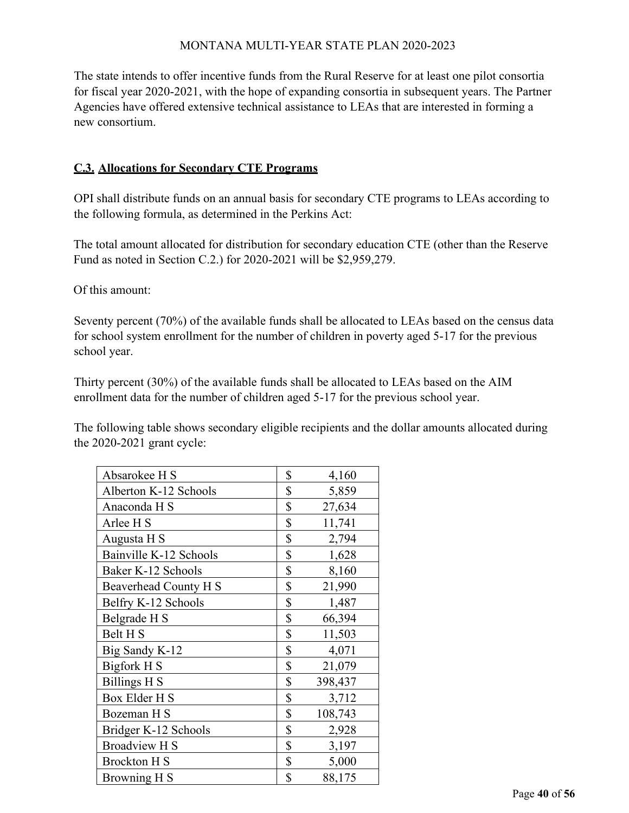The state intends to offer incentive funds from the Rural Reserve for at least one pilot consortia for fiscal year 2020-2021, with the hope of expanding consortia in subsequent years. The Partner Agencies have offered extensive technical assistance to LEAs that are interested in forming a new consortium.

#### **C.3. Allocations for Secondary CTE Programs**

OPI shall distribute funds on an annual basis for secondary CTE programs to LEAs according to the following formula, as determined in the Perkins Act:

The total amount allocated for distribution for secondary education CTE (other than the Reserve Fund as noted in Section C.2.) for 2020-2021 will be \$2,959,279.

Of this amount:

Seventy percent (70%) of the available funds shall be allocated to LEAs based on the census data for school system enrollment for the number of children in poverty aged 5-17 for the previous school year.

Thirty percent (30%) of the available funds shall be allocated to LEAs based on the AIM enrollment data for the number of children aged 5-17 for the previous school year.

The following table shows secondary eligible recipients and the dollar amounts allocated during the 2020-2021 grant cycle:

| Absarokee H S          | \$<br>4,160   |
|------------------------|---------------|
| Alberton K-12 Schools  | \$<br>5,859   |
| Anaconda H S           | \$<br>27,634  |
| Arlee H S              | \$<br>11,741  |
| Augusta H S            | \$<br>2,794   |
| Bainville K-12 Schools | \$<br>1,628   |
| Baker K-12 Schools     | \$<br>8,160   |
| Beaverhead County H S  | \$<br>21,990  |
| Belfry K-12 Schools    | \$<br>1,487   |
| Belgrade H S           | \$<br>66,394  |
| Belt H <sub>S</sub>    | \$<br>11,503  |
| Big Sandy K-12         | \$<br>4,071   |
| Bigfork H S            | \$<br>21,079  |
| Billings H S           | \$<br>398,437 |
| Box Elder H S          | \$<br>3,712   |
| Bozeman H S            | \$<br>108,743 |
| Bridger K-12 Schools   | \$<br>2,928   |
| <b>Broadview H S</b>   | \$<br>3,197   |
| <b>Brockton H S</b>    | \$<br>5,000   |
| <b>Browning H S</b>    | \$<br>88,175  |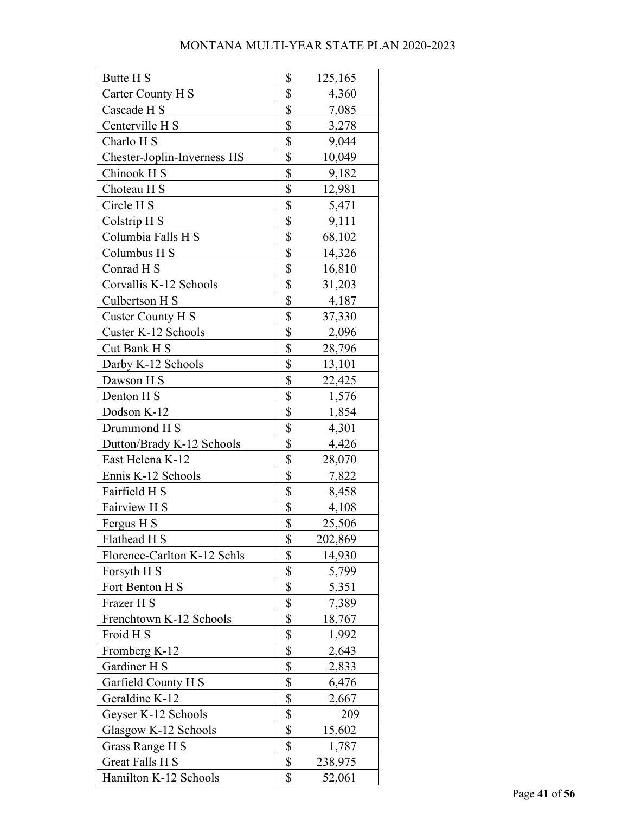| Butte H S                   | \$                        | 125,165 |
|-----------------------------|---------------------------|---------|
| Carter County H S           | \$                        | 4,360   |
| Cascade H S                 | \$                        | 7,085   |
| Centerville H S             | \$                        | 3,278   |
| Charlo H S                  | \$                        | 9,044   |
| Chester-Joplin-Inverness HS | \$                        | 10,049  |
| Chinook H S                 | \$                        | 9,182   |
| Choteau H S                 | \$                        | 12,981  |
| Circle H <sub>S</sub>       | \$                        | 5,471   |
| Colstrip H S                | \$                        | 9,111   |
| Columbia Falls H S          | \$                        | 68,102  |
| Columbus H S                | \$                        | 14,326  |
| Conrad H S                  | \$                        | 16,810  |
| Corvallis K-12 Schools      | \$                        | 31,203  |
| Culbertson H S              | \$                        | 4,187   |
| Custer County H S           | \$                        | 37,330  |
| Custer K-12 Schools         | \$                        | 2,096   |
| Cut Bank H S                | \$                        | 28,796  |
| Darby K-12 Schools          | \$                        | 13,101  |
| Dawson H S                  | \$                        | 22,425  |
| Denton H S                  | \$                        | 1,576   |
| Dodson K-12                 | \$                        | 1,854   |
| Drummond H S                | \$                        | 4,301   |
| Dutton/Brady K-12 Schools   | \$                        | 4,426   |
| East Helena K-12            | \$                        | 28,070  |
| Ennis K-12 Schools          | \$                        | 7,822   |
| Fairfield H S               | \$                        | 8,458   |
| Fairview H S                | \$                        | 4,108   |
| Fergus H S                  | \$                        | 25,506  |
| Flathead H S                | \$                        | 202,869 |
| Florence-Carlton K-12 Schls | \$                        | 14,930  |
| Forsyth H S                 | \$                        | 5,799   |
| Fort Benton H S             | $\boldsymbol{\mathsf{S}}$ | 5,351   |
| Frazer H S                  | \$                        | 7,389   |
| Frenchtown K-12 Schools     | \$                        | 18,767  |
| Froid H S                   | $\boldsymbol{\mathsf{S}}$ | 1,992   |
| Fromberg K-12               | \$                        | 2,643   |
| Gardiner H S                | \$                        | 2,833   |
| Garfield County H S         | \$                        | 6,476   |
| Geraldine K-12              | \$                        | 2,667   |
| Geyser K-12 Schools         | \$                        | 209     |
| Glasgow K-12 Schools        | \$                        | 15,602  |
| Grass Range H S             | \$                        | 1,787   |
| Great Falls H S             | \$                        | 238,975 |
| Hamilton K-12 Schools       | \$                        | 52,061  |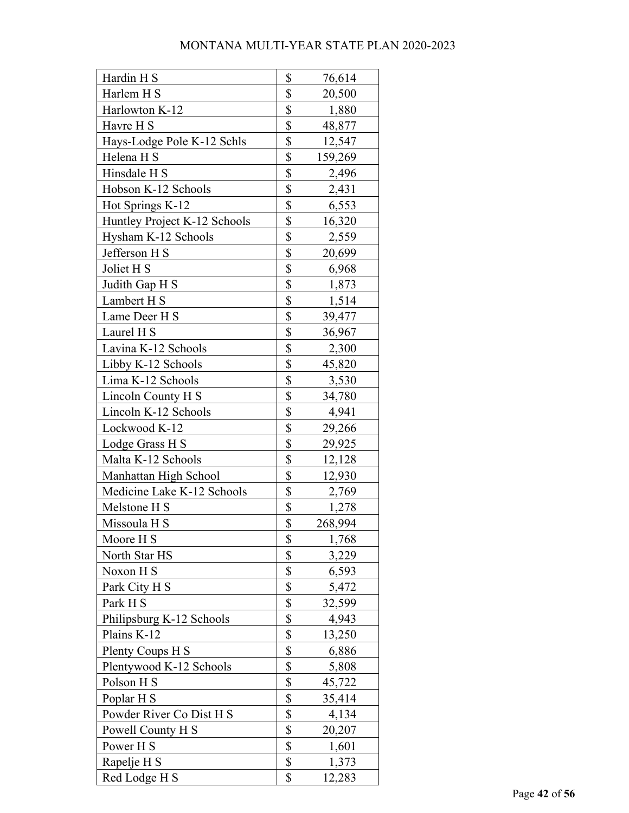| Hardin H S                   | \$<br>76,614  |
|------------------------------|---------------|
| Harlem H S                   | \$<br>20,500  |
| Harlowton K-12               | \$<br>1,880   |
| Havre H S                    | \$<br>48,877  |
| Hays-Lodge Pole K-12 Schls   | \$<br>12,547  |
| Helena H S                   | \$<br>159,269 |
| Hinsdale H S                 | \$<br>2,496   |
| Hobson K-12 Schools          | \$<br>2,431   |
| Hot Springs K-12             | \$<br>6,553   |
| Huntley Project K-12 Schools | \$<br>16,320  |
| Hysham K-12 Schools          | \$<br>2,559   |
| Jefferson H S                | \$<br>20,699  |
| Joliet H S                   | \$<br>6,968   |
| Judith Gap H S               | \$<br>1,873   |
| Lambert H S                  | \$<br>1,514   |
| Lame Deer H S                | \$<br>39,477  |
| Laurel H S                   | \$<br>36,967  |
| Lavina K-12 Schools          | \$<br>2,300   |
| Libby K-12 Schools           | \$<br>45,820  |
| Lima K-12 Schools            | \$<br>3,530   |
| Lincoln County H S           | \$<br>34,780  |
| Lincoln K-12 Schools         | \$<br>4,941   |
| Lockwood K-12                | \$<br>29,266  |
| Lodge Grass H S              | \$<br>29,925  |
| Malta K-12 Schools           | \$<br>12,128  |
| Manhattan High School        | \$<br>12,930  |
| Medicine Lake K-12 Schools   | \$<br>2,769   |
| Melstone H S                 | \$<br>1,278   |
| Missoula H S                 | \$<br>268,994 |
| Moore H S                    | \$<br>1,768   |
| North Star HS                | \$<br>3,229   |
| Noxon H S                    | \$<br>6,593   |
| Park City H S                | \$<br>5,472   |
| Park H S                     | \$<br>32,599  |
| Philipsburg K-12 Schools     | \$<br>4,943   |
| Plains K-12                  | \$<br>13,250  |
| Plenty Coups H S             | \$<br>6,886   |
| Plentywood K-12 Schools      | \$<br>5,808   |
| Polson H S                   | \$<br>45,722  |
| Poplar H S                   | \$<br>35,414  |
| Powder River Co Dist H S     | \$<br>4,134   |
| Powell County H S            | \$<br>20,207  |
| Power H S                    | \$<br>1,601   |
| Rapelje H S                  | \$<br>1,373   |
| Red Lodge H S                | \$<br>12,283  |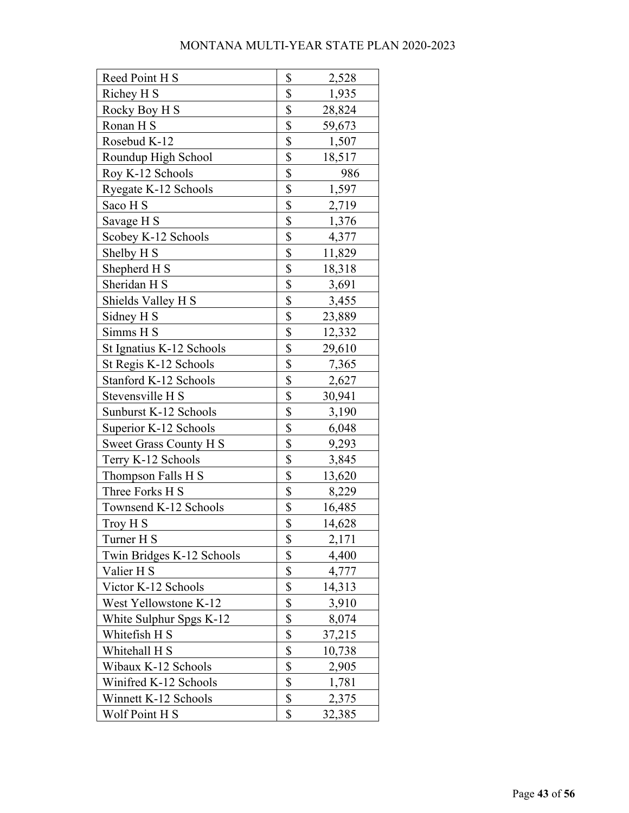| Reed Point H S            | \$<br>2,528  |
|---------------------------|--------------|
| Richey H S                | \$<br>1,935  |
| Rocky Boy H S             | \$<br>28,824 |
| Ronan H S                 | \$<br>59,673 |
| Rosebud K-12              | \$<br>1,507  |
| Roundup High School       | \$<br>18,517 |
| Roy K-12 Schools          | \$<br>986    |
| Ryegate K-12 Schools      | \$<br>1,597  |
| Saco H S                  | \$<br>2,719  |
| Savage H S                | \$<br>1,376  |
| Scobey K-12 Schools       | \$<br>4,377  |
| Shelby H <sub>S</sub>     | \$<br>11,829 |
| Shepherd H S              | \$<br>18,318 |
| Sheridan H S              | \$<br>3,691  |
| Shields Valley H S        | \$<br>3,455  |
| Sidney H S                | \$<br>23,889 |
| Simms H S                 | \$<br>12,332 |
| St Ignatius K-12 Schools  | \$<br>29,610 |
| St Regis K-12 Schools     | \$<br>7,365  |
| Stanford K-12 Schools     | \$<br>2,627  |
| Stevensville H S          | \$<br>30,941 |
| Sunburst K-12 Schools     | \$<br>3,190  |
| Superior K-12 Schools     | \$<br>6,048  |
| Sweet Grass County H S    | \$<br>9,293  |
| Terry K-12 Schools        | \$<br>3,845  |
| Thompson Falls H S        | \$<br>13,620 |
| Three Forks H S           | \$<br>8,229  |
| Townsend K-12 Schools     | \$<br>16,485 |
| Troy H S                  | \$<br>14,628 |
| Turner H S                | \$<br>2,171  |
| Twin Bridges K-12 Schools | \$<br>4,400  |
| Valier H S                | \$<br>4,777  |
| Victor K-12 Schools       | \$<br>14,313 |
| West Yellowstone K-12     | \$<br>3,910  |
| White Sulphur Spgs K-12   | \$<br>8,074  |
| Whitefish H S             | \$<br>37,215 |
| Whitehall H S             | \$<br>10,738 |
| Wibaux K-12 Schools       | \$<br>2,905  |
| Winifred K-12 Schools     | \$<br>1,781  |
| Winnett K-12 Schools      | \$<br>2,375  |
| Wolf Point H S            | \$<br>32,385 |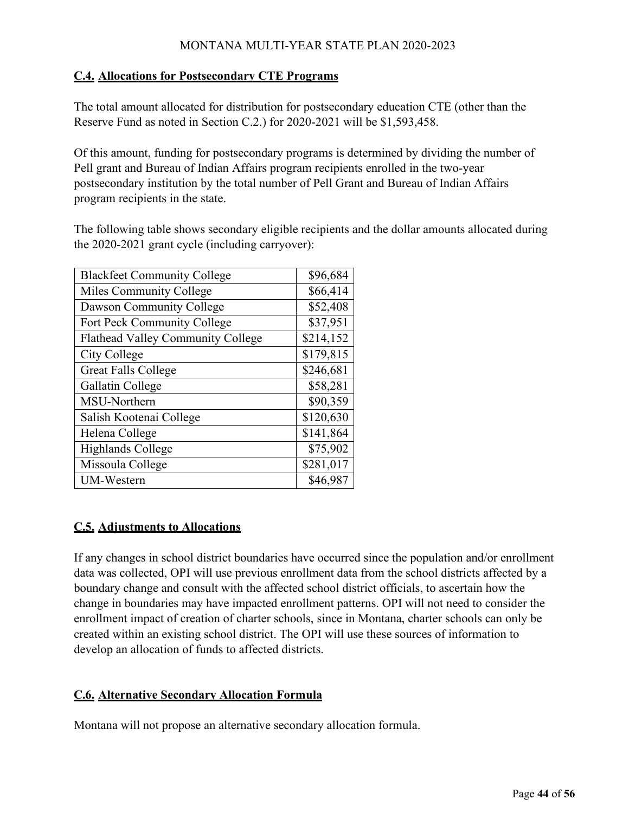#### **C.4. Allocations for Postsecondary CTE Programs**

The total amount allocated for distribution for postsecondary education CTE (other than the Reserve Fund as noted in Section C.2.) for 2020-2021 will be \$1,593,458.

Of this amount, funding for postsecondary programs is determined by dividing the number of Pell grant and Bureau of Indian Affairs program recipients enrolled in the two-year postsecondary institution by the total number of Pell Grant and Bureau of Indian Affairs program recipients in the state.

The following table shows secondary eligible recipients and the dollar amounts allocated during the 2020-2021 grant cycle (including carryover):

| <b>Blackfeet Community College</b> | \$96,684  |
|------------------------------------|-----------|
| Miles Community College            | \$66,414  |
| Dawson Community College           | \$52,408  |
| Fort Peck Community College        | \$37,951  |
| Flathead Valley Community College  | \$214,152 |
| City College                       | \$179,815 |
| <b>Great Falls College</b>         | \$246,681 |
| Gallatin College                   | \$58,281  |
| MSU-Northern                       | \$90,359  |
| Salish Kootenai College            | \$120,630 |
| Helena College                     | \$141,864 |
| <b>Highlands College</b>           | \$75,902  |
| Missoula College                   | \$281,017 |
| <b>UM-Western</b>                  | \$46,987  |

# **C.5. Adjustments to Allocations**

If any changes in school district boundaries have occurred since the population and/or enrollment data was collected, OPI will use previous enrollment data from the school districts affected by a boundary change and consult with the affected school district officials, to ascertain how the change in boundaries may have impacted enrollment patterns. OPI will not need to consider the enrollment impact of creation of charter schools, since in Montana, charter schools can only be created within an existing school district. The OPI will use these sources of information to develop an allocation of funds to affected districts.

# **C.6. Alternative Secondary Allocation Formula**

Montana will not propose an alternative secondary allocation formula.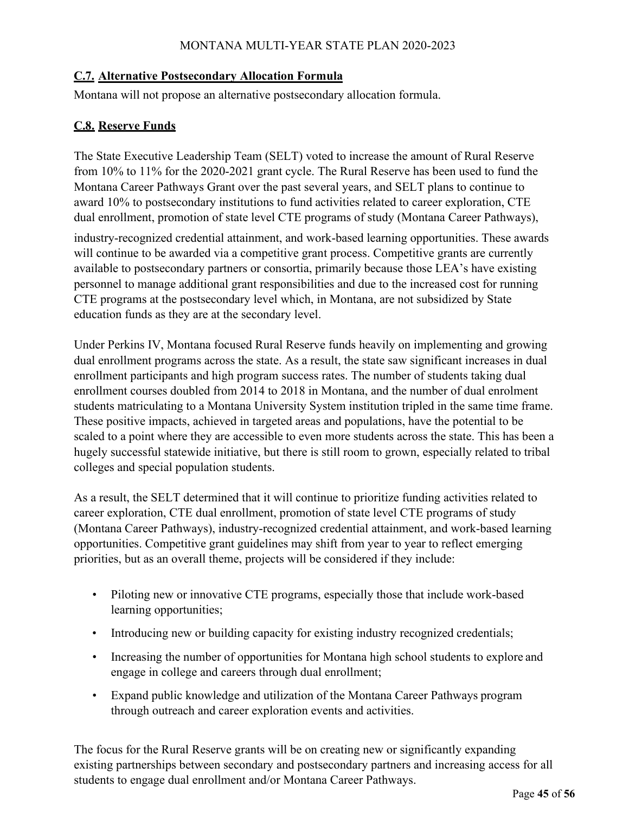#### **C.7. Alternative Postsecondary Allocation Formula**

Montana will not propose an alternative postsecondary allocation formula.

#### **C.8. Reserve Funds**

The State Executive Leadership Team (SELT) voted to increase the amount of Rural Reserve from 10% to 11% for the 2020-2021 grant cycle. The Rural Reserve has been used to fund the Montana Career Pathways Grant over the past several years, and SELT plans to continue to award 10% to postsecondary institutions to fund activities related to career exploration, CTE dual enrollment, promotion of state level CTE programs of study (Montana Career Pathways),

industry-recognized credential attainment, and work-based learning opportunities. These awards will continue to be awarded via a competitive grant process. Competitive grants are currently available to postsecondary partners or consortia, primarily because those LEA's have existing personnel to manage additional grant responsibilities and due to the increased cost for running CTE programs at the postsecondary level which, in Montana, are not subsidized by State education funds as they are at the secondary level.

Under Perkins IV, Montana focused Rural Reserve funds heavily on implementing and growing dual enrollment programs across the state. As a result, the state saw significant increases in dual enrollment participants and high program success rates. The number of students taking dual enrollment courses doubled from 2014 to 2018 in Montana, and the number of dual enrolment students matriculating to a Montana University System institution tripled in the same time frame. These positive impacts, achieved in targeted areas and populations, have the potential to be scaled to a point where they are accessible to even more students across the state. This has been a hugely successful statewide initiative, but there is still room to grown, especially related to tribal colleges and special population students.

As a result, the SELT determined that it will continue to prioritize funding activities related to career exploration, CTE dual enrollment, promotion of state level CTE programs of study (Montana Career Pathways), industry-recognized credential attainment, and work-based learning opportunities. Competitive grant guidelines may shift from year to year to reflect emerging priorities, but as an overall theme, projects will be considered if they include:

- Piloting new or innovative CTE programs, especially those that include work-based learning opportunities;
- Introducing new or building capacity for existing industry recognized credentials;
- Increasing the number of opportunities for Montana high school students to explore and engage in college and careers through dual enrollment;
- Expand public knowledge and utilization of the Montana Career Pathways program through outreach and career exploration events and activities.

The focus for the Rural Reserve grants will be on creating new or significantly expanding existing partnerships between secondary and postsecondary partners and increasing access for all students to engage dual enrollment and/or Montana Career Pathways.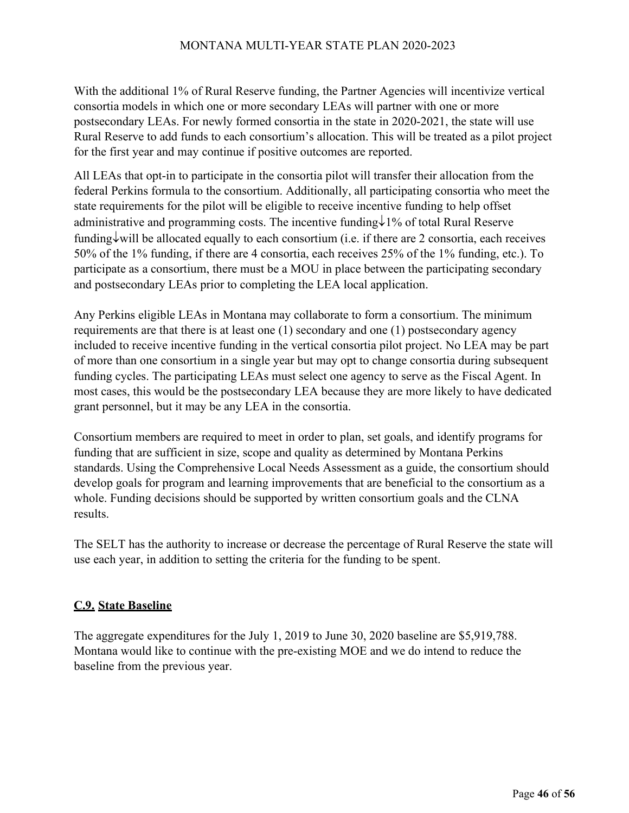With the additional 1% of Rural Reserve funding, the Partner Agencies will incentivize vertical consortia models in which one or more secondary LEAs will partner with one or more postsecondary LEAs. For newly formed consortia in the state in 2020-2021, the state will use Rural Reserve to add funds to each consortium's allocation. This will be treated as a pilot project for the first year and may continue if positive outcomes are reported.

All LEAs that opt-in to participate in the consortia pilot will transfer their allocation from the federal Perkins formula to the consortium. Additionally, all participating consortia who meet the state requirements for the pilot will be eligible to receive incentive funding to help offset administrative and programming costs. The incentive funding↓1% of total Rural Reserve funding↓will be allocated equally to each consortium (i.e. if there are 2 consortia, each receives 50% of the 1% funding, if there are 4 consortia, each receives 25% of the 1% funding, etc.). To participate as a consortium, there must be a MOU in place between the participating secondary and postsecondary LEAs prior to completing the LEA local application.

Any Perkins eligible LEAs in Montana may collaborate to form a consortium. The minimum requirements are that there is at least one (1) secondary and one (1) postsecondary agency included to receive incentive funding in the vertical consortia pilot project. No LEA may be part of more than one consortium in a single year but may opt to change consortia during subsequent funding cycles. The participating LEAs must select one agency to serve as the Fiscal Agent. In most cases, this would be the postsecondary LEA because they are more likely to have dedicated grant personnel, but it may be any LEA in the consortia.

Consortium members are required to meet in order to plan, set goals, and identify programs for funding that are sufficient in size, scope and quality as determined by Montana Perkins standards. Using the Comprehensive Local Needs Assessment as a guide, the consortium should develop goals for program and learning improvements that are beneficial to the consortium as a whole. Funding decisions should be supported by written consortium goals and the CLNA results.

The SELT has the authority to increase or decrease the percentage of Rural Reserve the state will use each year, in addition to setting the criteria for the funding to be spent.

# **C.9. State Baseline**

The aggregate expenditures for the July 1, 2019 to June 30, 2020 baseline are \$5,919,788. Montana would like to continue with the pre-existing MOE and we do intend to reduce the baseline from the previous year.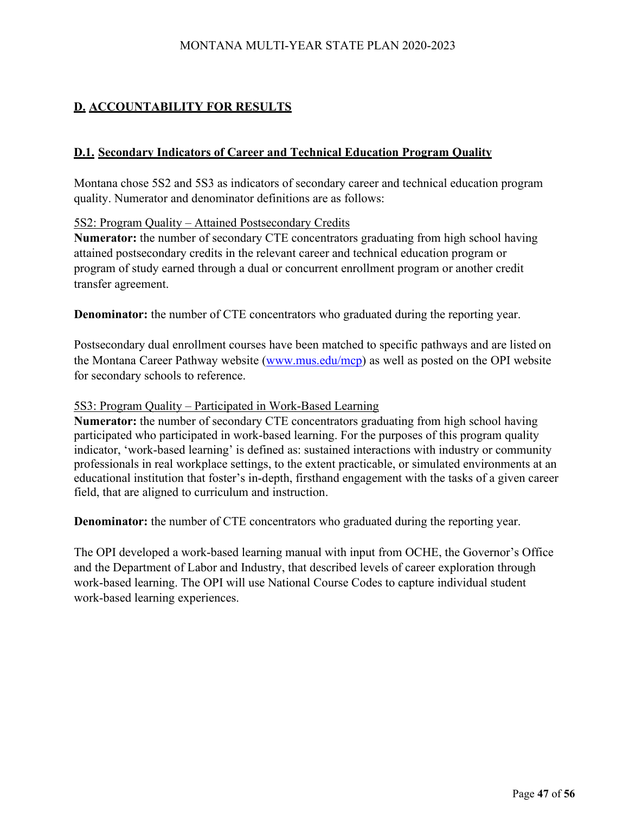# **D. ACCOUNTABILITY FOR RESULTS**

#### **D.1. Secondary Indicators of Career and Technical Education Program Quality**

Montana chose 5S2 and 5S3 as indicators of secondary career and technical education program quality. Numerator and denominator definitions are as follows:

#### 5S2: Program Quality – Attained Postsecondary Credits

**Numerator:** the number of secondary CTE concentrators graduating from high school having attained postsecondary credits in the relevant career and technical education program or program of study earned through a dual or concurrent enrollment program or another credit transfer agreement.

**Denominator:** the number of CTE concentrators who graduated during the reporting year.

Postsecondary dual enrollment courses have been matched to specific pathways and are listed on the Montana Career Pathway website [\(www.mus.edu/mcp\)](http://www.mus.edu/mcp) as well as posted on the OPI website for secondary schools to reference.

#### 5S3: Program Quality – Participated in Work-Based Learning

**Numerator:** the number of secondary CTE concentrators graduating from high school having participated who participated in work-based learning. For the purposes of this program quality indicator, 'work-based learning' is defined as: sustained interactions with industry or community professionals in real workplace settings, to the extent practicable, or simulated environments at an educational institution that foster's in-depth, firsthand engagement with the tasks of a given career field, that are aligned to curriculum and instruction.

**Denominator:** the number of CTE concentrators who graduated during the reporting year.

The OPI developed a work-based learning manual with input from OCHE, the Governor's Office and the Department of Labor and Industry, that described levels of career exploration through work-based learning. The OPI will use National Course Codes to capture individual student work-based learning experiences.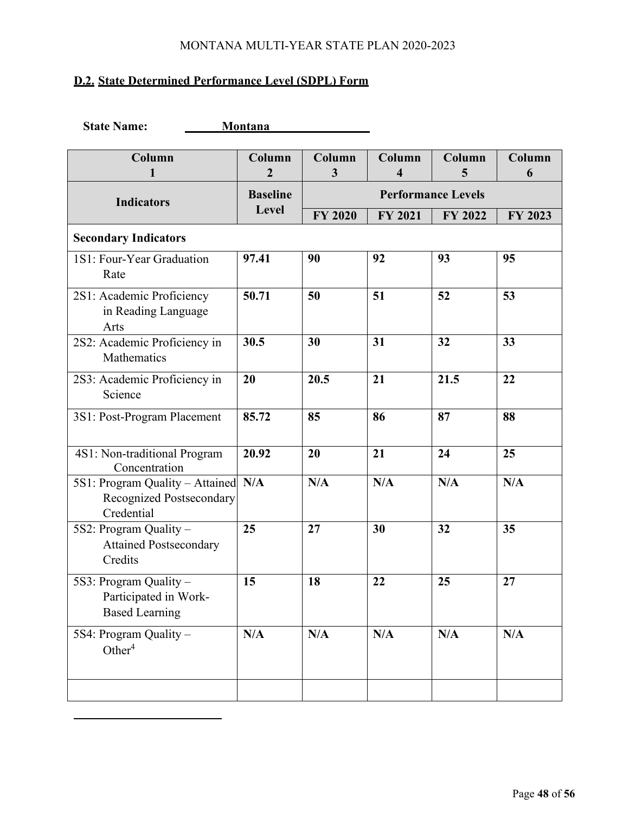# **D.2. State Determined Performance Level (SDPL) Form**

| <b>State Name:</b><br><b>Montana</b>                                          |                          |                           |                |             |             |
|-------------------------------------------------------------------------------|--------------------------|---------------------------|----------------|-------------|-------------|
| Column<br>1                                                                   | Column<br>$\overline{2}$ | Column<br>3               | Column<br>4    | Column<br>5 | Column<br>6 |
| <b>Indicators</b>                                                             | <b>Baseline</b>          | <b>Performance Levels</b> |                |             |             |
|                                                                               | Level                    | <b>FY 2020</b>            | <b>FY 2021</b> | FY 2022     | FY 2023     |
| <b>Secondary Indicators</b>                                                   |                          |                           |                |             |             |
| 1S1: Four-Year Graduation<br>Rate                                             | 97.41                    | 90                        | 92             | 93          | 95          |
| 2S1: Academic Proficiency<br>in Reading Language<br>Arts                      | 50.71                    | 50                        | 51             | 52          | 53          |
| 2S2: Academic Proficiency in<br>Mathematics                                   | 30.5                     | 30                        | 31             | 32          | 33          |
| 2S3: Academic Proficiency in<br>Science                                       | 20                       | 20.5                      | 21             | 21.5        | 22          |
| 3S1: Post-Program Placement                                                   | 85.72                    | 85                        | 86             | 87          | 88          |
| 4S1: Non-traditional Program<br>Concentration                                 | 20.92                    | 20                        | 21             | 24          | 25          |
| 5S1: Program Quality - Attained N/A<br>Recognized Postsecondary<br>Credential |                          | N/A                       | N/A            | N/A         | N/A         |
| 5S2: Program Quality -<br><b>Attained Postsecondary</b><br>Credits            | 25                       | 27                        | 30             | 32          | 35          |
| 5S3: Program Quality -<br>Participated in Work-<br><b>Based Learning</b>      | 15                       | 18                        | 22             | 25          | 27          |
| 5S4: Program Quality -<br>Other $4$                                           | N/A                      | N/A                       | N/A            | N/A         | N/A         |
|                                                                               |                          |                           |                |             |             |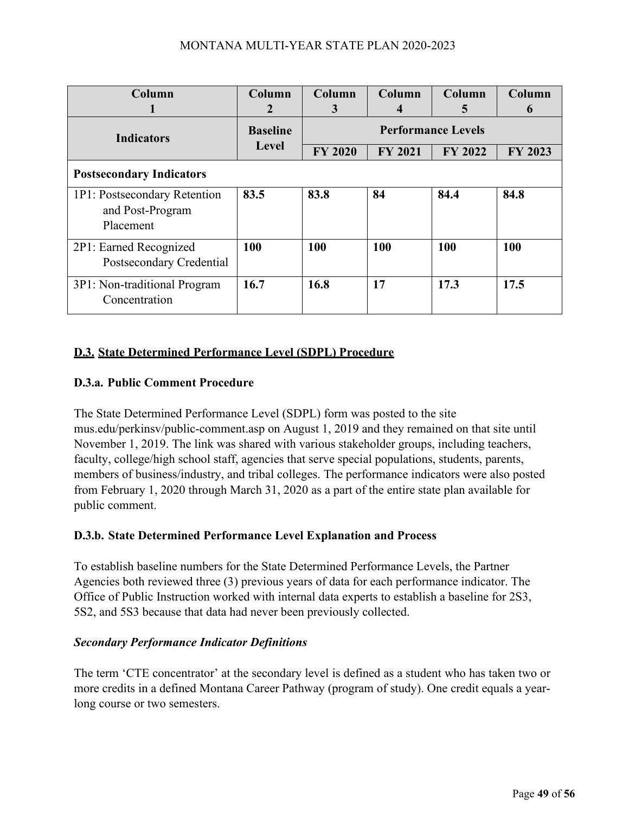| Column                                                        | Column                   | Column                    | Column         | Column  | Column           |
|---------------------------------------------------------------|--------------------------|---------------------------|----------------|---------|------------------|
| ı                                                             | 2                        | 3                         | 4              | 5       | $\boldsymbol{6}$ |
| <b>Indicators</b>                                             | <b>Baseline</b><br>Level | <b>Performance Levels</b> |                |         |                  |
|                                                               |                          | <b>FY 2020</b>            | <b>FY 2021</b> | FY 2022 | FY 2023          |
| <b>Postsecondary Indicators</b>                               |                          |                           |                |         |                  |
| 1P1: Postsecondary Retention<br>and Post-Program<br>Placement | 83.5                     | 83.8                      | 84             | 84.4    | 84.8             |
| 2P1: Earned Recognized<br>Postsecondary Credential            | 100                      | 100                       | 100            | 100     | 100              |
| 3P1: Non-traditional Program<br>Concentration                 | 16.7                     | 16.8                      | 17             | 17.3    | 17.5             |

# **D.3. State Determined Performance Level (SDPL) Procedure**

# **D.3.a. Public Comment Procedure**

The State Determined Performance Level (SDPL) form was posted to the site mus.edu/perkinsv/public-comment.asp on August 1, 2019 and they remained on that site until November 1, 2019. The link was shared with various stakeholder groups, including teachers, faculty, college/high school staff, agencies that serve special populations, students, parents, members of business/industry, and tribal colleges. The performance indicators were also posted from February 1, 2020 through March 31, 2020 as a part of the entire state plan available for public comment.

# **D.3.b. State Determined Performance Level Explanation and Process**

To establish baseline numbers for the State Determined Performance Levels, the Partner Agencies both reviewed three (3) previous years of data for each performance indicator. The Office of Public Instruction worked with internal data experts to establish a baseline for 2S3, 5S2, and 5S3 because that data had never been previously collected.

#### *Secondary Performance Indicator Definitions*

The term 'CTE concentrator' at the secondary level is defined as a student who has taken two or more credits in a defined Montana Career Pathway (program of study). One credit equals a yearlong course or two semesters.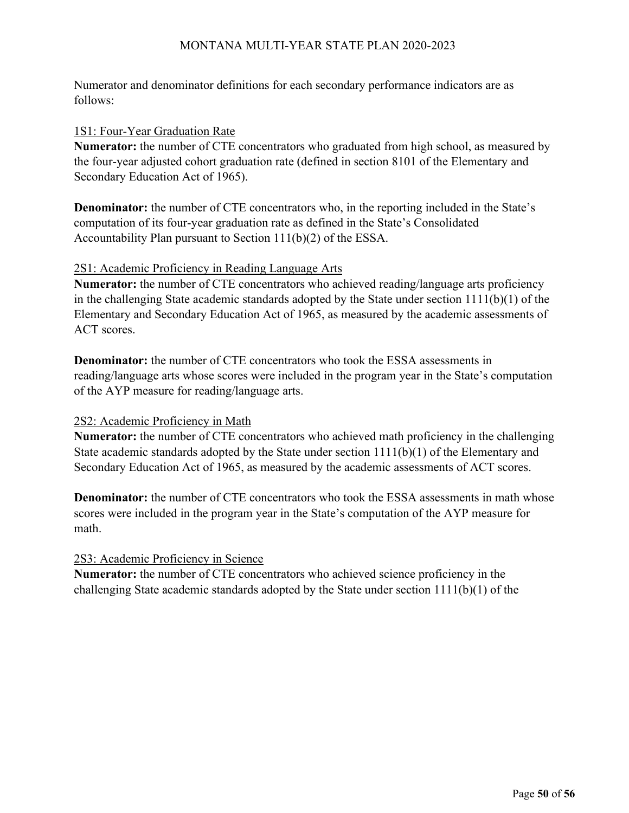Numerator and denominator definitions for each secondary performance indicators are as follows:

#### 1S1: Four-Year Graduation Rate

**Numerator:** the number of CTE concentrators who graduated from high school, as measured by the four-year adjusted cohort graduation rate (defined in section 8101 of the Elementary and Secondary Education Act of 1965).

**Denominator:** the number of CTE concentrators who, in the reporting included in the State's computation of its four-year graduation rate as defined in the State's Consolidated Accountability Plan pursuant to Section 111(b)(2) of the ESSA.

#### 2S1: Academic Proficiency in Reading Language Arts

**Numerator:** the number of CTE concentrators who achieved reading/language arts proficiency in the challenging State academic standards adopted by the State under section 1111(b)(1) of the Elementary and Secondary Education Act of 1965, as measured by the academic assessments of ACT scores.

**Denominator:** the number of CTE concentrators who took the ESSA assessments in reading/language arts whose scores were included in the program year in the State's computation of the AYP measure for reading/language arts.

#### 2S2: Academic Proficiency in Math

**Numerator:** the number of CTE concentrators who achieved math proficiency in the challenging State academic standards adopted by the State under section 1111(b)(1) of the Elementary and Secondary Education Act of 1965, as measured by the academic assessments of ACT scores.

**Denominator:** the number of CTE concentrators who took the ESSA assessments in math whose scores were included in the program year in the State's computation of the AYP measure for math.

#### 2S3: Academic Proficiency in Science

**Numerator:** the number of CTE concentrators who achieved science proficiency in the challenging State academic standards adopted by the State under section 1111(b)(1) of the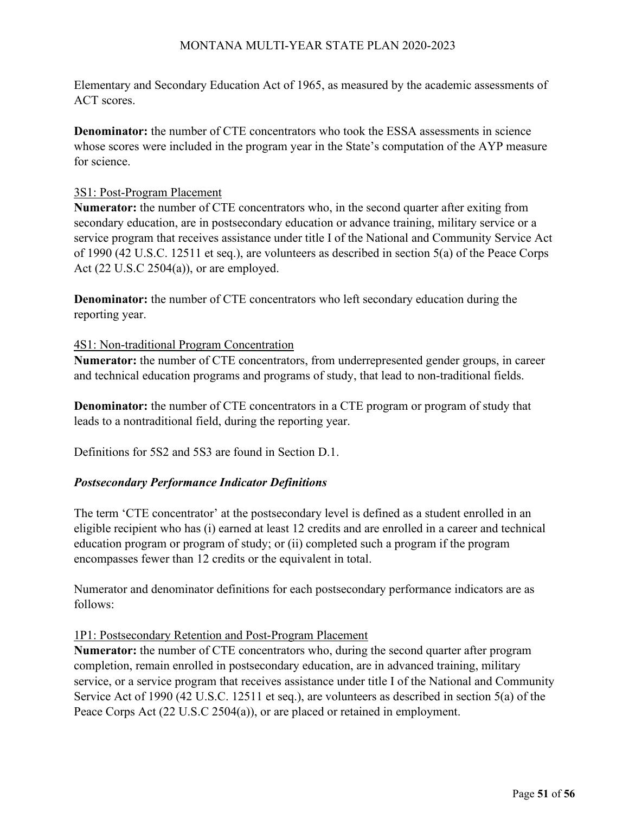Elementary and Secondary Education Act of 1965, as measured by the academic assessments of ACT scores.

**Denominator:** the number of CTE concentrators who took the ESSA assessments in science whose scores were included in the program year in the State's computation of the AYP measure for science.

#### 3S1: Post-Program Placement

**Numerator:** the number of CTE concentrators who, in the second quarter after exiting from secondary education, are in postsecondary education or advance training, military service or a service program that receives assistance under title I of the National and Community Service Act of 1990 (42 U.S.C. 12511 et seq.), are volunteers as described in section 5(a) of the Peace Corps Act (22 U.S.C 2504(a)), or are employed.

**Denominator:** the number of CTE concentrators who left secondary education during the reporting year.

#### 4S1: Non-traditional Program Concentration

**Numerator:** the number of CTE concentrators, from underrepresented gender groups, in career and technical education programs and programs of study, that lead to non-traditional fields.

**Denominator:** the number of CTE concentrators in a CTE program or program of study that leads to a nontraditional field, during the reporting year.

Definitions for 5S2 and 5S3 are found in Section D.1.

# *Postsecondary Performance Indicator Definitions*

The term 'CTE concentrator' at the postsecondary level is defined as a student enrolled in an eligible recipient who has (i) earned at least 12 credits and are enrolled in a career and technical education program or program of study; or (ii) completed such a program if the program encompasses fewer than 12 credits or the equivalent in total.

Numerator and denominator definitions for each postsecondary performance indicators are as follows:

#### 1P1: Postsecondary Retention and Post-Program Placement

**Numerator:** the number of CTE concentrators who, during the second quarter after program completion, remain enrolled in postsecondary education, are in advanced training, military service, or a service program that receives assistance under title I of the National and Community Service Act of 1990 (42 U.S.C. 12511 et seq.), are volunteers as described in section 5(a) of the Peace Corps Act (22 U.S.C 2504(a)), or are placed or retained in employment.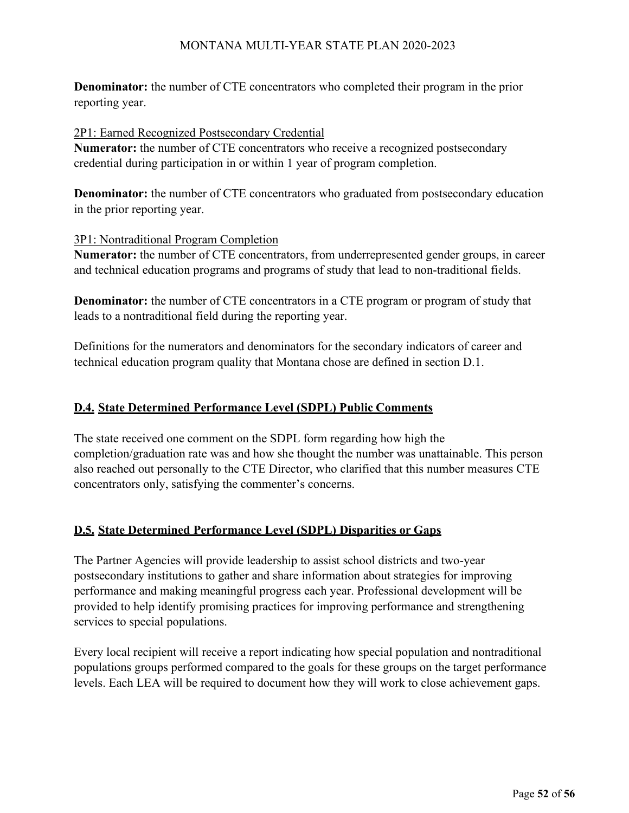**Denominator:** the number of CTE concentrators who completed their program in the prior reporting year.

2P1: Earned Recognized Postsecondary Credential

**Numerator:** the number of CTE concentrators who receive a recognized postsecondary credential during participation in or within 1 year of program completion.

**Denominator:** the number of CTE concentrators who graduated from postsecondary education in the prior reporting year.

#### 3P1: Nontraditional Program Completion

**Numerator:** the number of CTE concentrators, from underrepresented gender groups, in career and technical education programs and programs of study that lead to non-traditional fields.

**Denominator:** the number of CTE concentrators in a CTE program or program of study that leads to a nontraditional field during the reporting year.

Definitions for the numerators and denominators for the secondary indicators of career and technical education program quality that Montana chose are defined in section D.1.

# **D.4. State Determined Performance Level (SDPL) Public Comments**

The state received one comment on the SDPL form regarding how high the completion/graduation rate was and how she thought the number was unattainable. This person also reached out personally to the CTE Director, who clarified that this number measures CTE concentrators only, satisfying the commenter's concerns.

# **D.5. State Determined Performance Level (SDPL) Disparities or Gaps**

The Partner Agencies will provide leadership to assist school districts and two-year postsecondary institutions to gather and share information about strategies for improving performance and making meaningful progress each year. Professional development will be provided to help identify promising practices for improving performance and strengthening services to special populations.

Every local recipient will receive a report indicating how special population and nontraditional populations groups performed compared to the goals for these groups on the target performance levels. Each LEA will be required to document how they will work to close achievement gaps.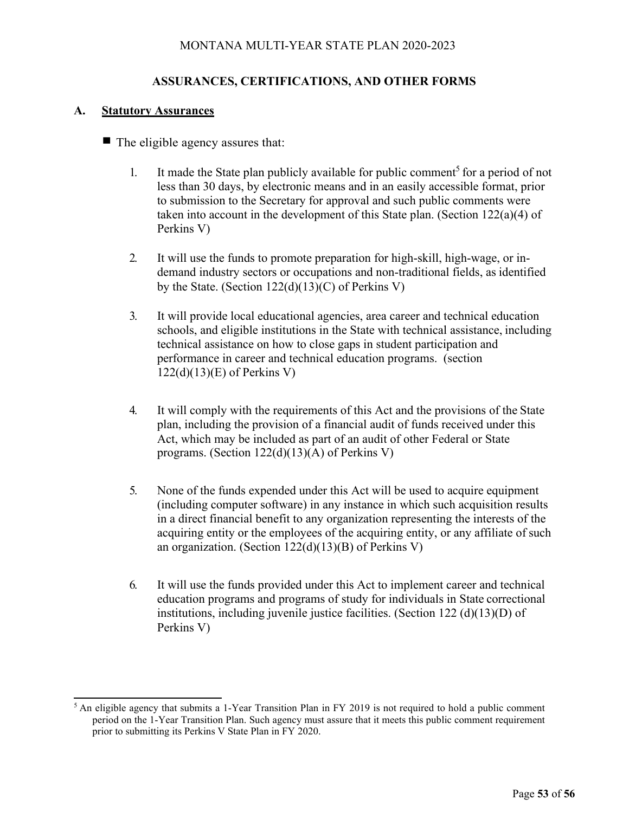#### **ASSURANCES, CERTIFICATIONS, AND OTHER FORMS**

#### **A. Statutory Assurances**

- $\blacksquare$  The eligible agency assures that:
	- 1. It made the State plan publicly available for public comment<sup>5</sup> for a period of not less than 30 days, by electronic means and in an easily accessible format, prior to submission to the Secretary for approval and such public comments were taken into account in the development of this State plan. (Section 122(a)(4) of Perkins V)
	- 2. It will use the funds to promote preparation for high-skill, high-wage, or indemand industry sectors or occupations and non-traditional fields, as identified by the State. (Section 122(d)(13)(C) of Perkins V)
	- 3. It will provide local educational agencies, area career and technical education schools, and eligible institutions in the State with technical assistance, including technical assistance on how to close gaps in student participation and performance in career and technical education programs. (section 122(d)(13)(E) of Perkins V)
	- 4. It will comply with the requirements of this Act and the provisions of the State plan, including the provision of a financial audit of funds received under this Act, which may be included as part of an audit of other Federal or State programs. (Section 122(d)(13)(A) of Perkins V)
	- 5. None of the funds expended under this Act will be used to acquire equipment (including computer software) in any instance in which such acquisition results in a direct financial benefit to any organization representing the interests of the acquiring entity or the employees of the acquiring entity, or any affiliate of such an organization. (Section 122(d)(13)(B) of Perkins V)
	- 6. It will use the funds provided under this Act to implement career and technical education programs and programs of study for individuals in State correctional institutions, including juvenile justice facilities. (Section 122 (d)(13)(D) of Perkins V)

 $<sup>5</sup>$  An eligible agency that submits a 1-Year Transition Plan in FY 2019 is not required to hold a public comment</sup> period on the 1-Year Transition Plan. Such agency must assure that it meets this public comment requirement prior to submitting its Perkins V State Plan in FY 2020.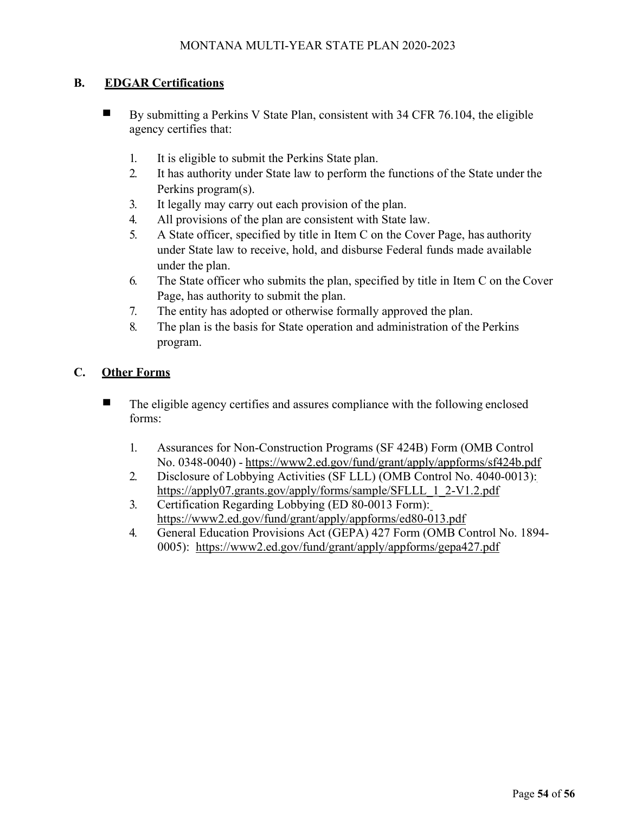#### **B. EDGAR Certifications**

- By submitting a Perkins V State Plan, consistent with 34 CFR 76.104, the eligible agency certifies that:
	- 1. It is eligible to submit the Perkins State plan.
	- 2. It has authority under State law to perform the functions of the State under the Perkins program(s).
	- 3. It legally may carry out each provision of the plan.
	- 4. All provisions of the plan are consistent with State law.
	- 5. A State officer, specified by title in Item C on the Cover Page, has authority under State law to receive, hold, and disburse Federal funds made available under the plan.
	- 6. The State officer who submits the plan, specified by title in Item C on the Cover Page, has authority to submit the plan.
	- 7. The entity has adopted or otherwise formally approved the plan.
	- 8. The plan is the basis for State operation and administration of the Perkins program.

#### **C. Other Forms**

- The eligible agency certifies and assures compliance with the following enclosed forms:
	- 1. Assurances for Non-Construction Programs (SF 424B) Form (OMB Control No. 0348-0040) - <https://www2.ed.gov/fund/grant/apply/appforms/sf424b.pdf>
	- 2. Disclosure of Lobbying Activities (SF LLL) (OMB Control No. 4040-0013): [https://apply07.grants.gov/apply/forms/sample/SFLLL\\_1\\_2-V1.2.pdf](https://apply07.grants.gov/apply/forms/sample/SFLLL_1_2-V1.2.pdf)
	- 3. Certification Regarding Lobbying (ED 80-0013 Form): <https://www2.ed.gov/fund/grant/apply/appforms/ed80-013.pdf>
	- 4. General Education Provisions Act (GEPA) 427 Form (OMB Control No. 1894- 0005): <https://www2.ed.gov/fund/grant/apply/appforms/gepa427.pdf>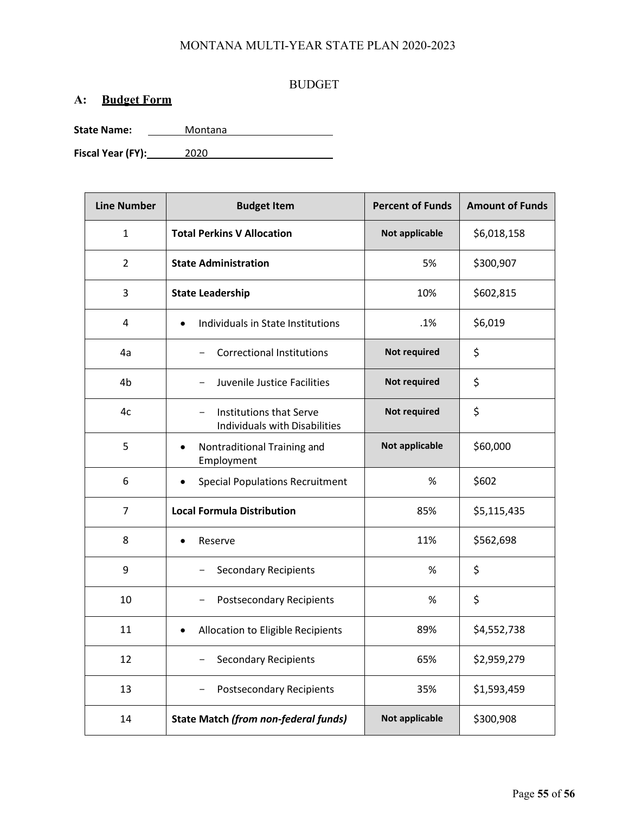#### BUDGET

# **A: Budget Form**

State Name: <u>Montana</u>

**Fiscal Year (FY):** 2020

| <b>Line Number</b> | <b>Budget Item</b>                                              | <b>Percent of Funds</b> | <b>Amount of Funds</b> |
|--------------------|-----------------------------------------------------------------|-------------------------|------------------------|
| $\mathbf{1}$       | <b>Total Perkins V Allocation</b>                               | Not applicable          | \$6,018,158            |
| $\overline{2}$     | <b>State Administration</b>                                     | 5%                      | \$300,907              |
| 3                  | <b>State Leadership</b>                                         | 10%                     | \$602,815              |
| 4                  | Individuals in State Institutions<br>$\bullet$                  | $.1\%$                  | \$6,019                |
| 4a                 | <b>Correctional Institutions</b>                                | Not required            | \$                     |
| 4 <sub>b</sub>     | Juvenile Justice Facilities                                     | <b>Not required</b>     | \$                     |
| 4c                 | <b>Institutions that Serve</b><br>Individuals with Disabilities | Not required            | \$                     |
| 5                  | Nontraditional Training and<br>Employment                       | Not applicable          | \$60,000               |
| 6                  | <b>Special Populations Recruitment</b>                          | %                       | \$602                  |
| $\overline{7}$     | <b>Local Formula Distribution</b>                               | 85%                     | \$5,115,435            |
| 8                  | Reserve                                                         | 11%                     | \$562,698              |
| 9                  | <b>Secondary Recipients</b>                                     | %                       | \$                     |
| 10                 | <b>Postsecondary Recipients</b>                                 | %                       | \$                     |
| 11                 | Allocation to Eligible Recipients<br>٠                          | 89%                     | \$4,552,738            |
| 12                 | <b>Secondary Recipients</b>                                     | 65%                     | \$2,959,279            |
| 13                 | <b>Postsecondary Recipients</b>                                 | 35%                     | \$1,593,459            |
| 14                 | <b>State Match (from non-federal funds)</b>                     | Not applicable          | \$300,908              |